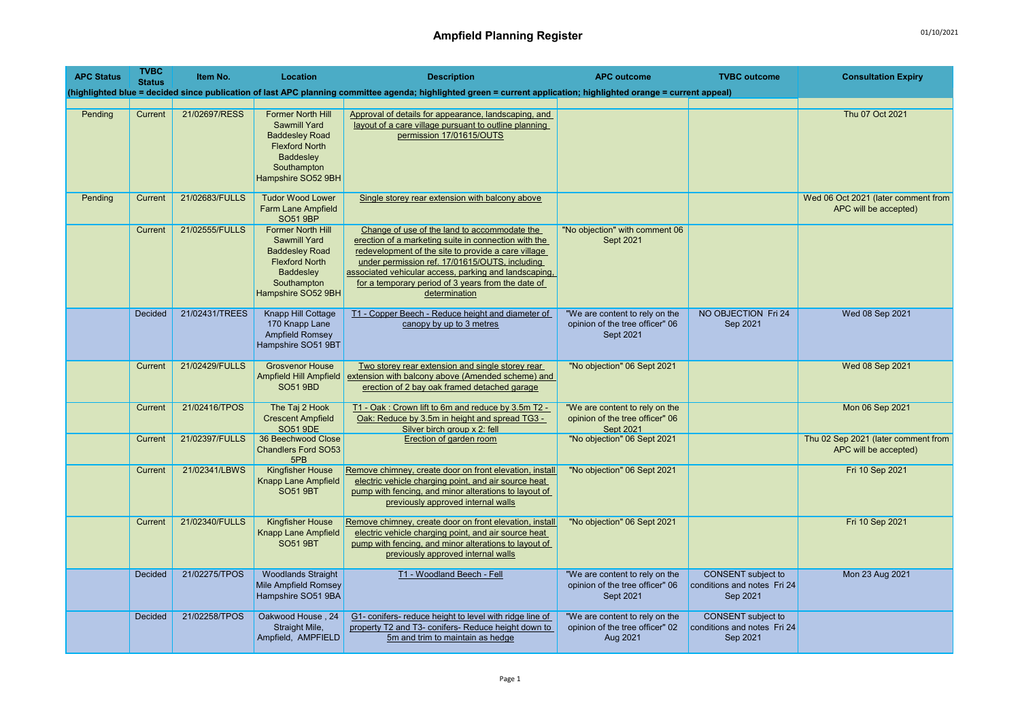| <b>APC Status</b> | <b>TVBC</b><br><b>Status</b> | Item No.       | Location                                                                                                                                                   | <b>Description</b>                                                                                                                                                                                                                                                                                                                            | <b>APC outcome</b>                                                                    | <b>TVBC</b> outcome                                                  | <b>Consultation Expiry</b>                                   |
|-------------------|------------------------------|----------------|------------------------------------------------------------------------------------------------------------------------------------------------------------|-----------------------------------------------------------------------------------------------------------------------------------------------------------------------------------------------------------------------------------------------------------------------------------------------------------------------------------------------|---------------------------------------------------------------------------------------|----------------------------------------------------------------------|--------------------------------------------------------------|
|                   |                              |                |                                                                                                                                                            | (highlighted blue = decided since publication of last APC planning committee agenda; highlighted green = current application; highlighted orange = current appeal)                                                                                                                                                                            |                                                                                       |                                                                      |                                                              |
|                   |                              |                |                                                                                                                                                            |                                                                                                                                                                                                                                                                                                                                               |                                                                                       |                                                                      |                                                              |
| Pending           | Current                      | 21/02697/RESS  | <b>Former North Hill</b><br><b>Sawmill Yard</b><br><b>Baddesley Road</b><br><b>Flexford North</b><br><b>Baddesley</b><br>Southampton<br>Hampshire SO52 9BH | Approval of details for appearance, landscaping, and<br>layout of a care village pursuant to outline planning<br>permission 17/01615/OUTS                                                                                                                                                                                                     |                                                                                       |                                                                      | Thu 07 Oct 2021                                              |
| Pending           | Current                      | 21/02683/FULLS | <b>Tudor Wood Lower</b><br><b>Farm Lane Ampfield</b><br><b>SO51 9BP</b>                                                                                    | Single storey rear extension with balcony above                                                                                                                                                                                                                                                                                               |                                                                                       |                                                                      | Wed 06 Oct 2021 (later comment from<br>APC will be accepted) |
|                   | Current                      | 21/02555/FULLS | <b>Former North Hill</b><br>Sawmill Yard<br><b>Baddesley Road</b><br><b>Flexford North</b><br>Baddesley<br>Southampton<br>Hampshire SO52 9BH               | Change of use of the land to accommodate the<br>erection of a marketing suite in connection with the<br>redevelopment of the site to provide a care village<br>under permission ref. 17/01615/OUTS, including<br>associated vehicular access, parking and landscaping,<br>for a temporary period of 3 years from the date of<br>determination | 'No objection" with comment 06<br>Sept 2021                                           |                                                                      |                                                              |
|                   | <b>Decided</b>               | 21/02431/TREES | Knapp Hill Cottage<br>170 Knapp Lane<br>Ampfield Romsey<br>Hampshire SO51 9BT                                                                              | T1 - Copper Beech - Reduce height and diameter of<br>canopy by up to 3 metres                                                                                                                                                                                                                                                                 | "We are content to rely on the<br>opinion of the tree officer" 06<br>Sept 2021        | NO OBJECTION Fri 24<br>Sep 2021                                      | Wed 08 Sep 2021                                              |
|                   | Current                      | 21/02429/FULLS | <b>Grosvenor House</b><br><b>Ampfield Hill Ampfield</b><br><b>SO51 9BD</b>                                                                                 | Two storey rear extension and single storey rear<br>extension with balcony above (Amended scheme) and<br>erection of 2 bay oak framed detached garage                                                                                                                                                                                         | "No objection" 06 Sept 2021                                                           |                                                                      | Wed 08 Sep 2021                                              |
|                   | Current                      | 21/02416/TPOS  | The Taj 2 Hook<br><b>Crescent Ampfield</b><br><b>SO51 9DE</b>                                                                                              | T1 - Oak: Crown lift to 6m and reduce by 3.5m T2 -<br>Oak: Reduce by 3.5m in height and spread TG3 -<br>Silver birch group x 2: fell                                                                                                                                                                                                          | "We are content to rely on the<br>opinion of the tree officer" 06<br><b>Sept 2021</b> |                                                                      | Mon 06 Sep 2021                                              |
|                   | Current                      | 21/02397/FULLS | 36 Beechwood Close<br><b>Chandlers Ford SO53</b><br>5PB                                                                                                    | Erection of garden room                                                                                                                                                                                                                                                                                                                       | "No objection" 06 Sept 2021                                                           |                                                                      | Thu 02 Sep 2021 (later comment from<br>APC will be accepted) |
|                   | Current                      | 21/02341/LBWS  | <b>Kingfisher House</b><br><b>Knapp Lane Ampfield</b><br><b>SO51 9BT</b>                                                                                   | Remove chimney, create door on front elevation, install<br>electric vehicle charging point, and air source heat<br>pump with fencing, and minor alterations to layout of<br>previously approved internal walls                                                                                                                                | "No objection" 06 Sept 2021                                                           |                                                                      | Fri 10 Sep 2021                                              |
|                   | Current                      | 21/02340/FULLS | Kingfisher House<br>Knapp Lane Ampfield<br><b>SO51 9BT</b>                                                                                                 | Remove chimney, create door on front elevation, install<br>electric vehicle charging point, and air source heat<br>pump with fencing, and minor alterations to layout of<br>previously approved internal walls                                                                                                                                | "No objection" 06 Sept 2021                                                           |                                                                      | Fri 10 Sep 2021                                              |
|                   | <b>Decided</b>               | 21/02275/TPOS  | <b>Woodlands Straight</b><br>Mile Ampfield Romsey<br>Hampshire SO51 9BA                                                                                    | T1 - Woodland Beech - Fell                                                                                                                                                                                                                                                                                                                    | "We are content to rely on the<br>opinion of the tree officer" 06<br>Sept 2021        | <b>CONSENT</b> subject to<br>conditions and notes Fri 24<br>Sep 2021 | Mon 23 Aug 2021                                              |
|                   | <b>Decided</b>               | 21/02258/TPOS  | Oakwood House, 24<br>Straight Mile,<br>Ampfield, AMPFIELD                                                                                                  | G1- conifers- reduce height to level with ridge line of<br>property T2 and T3- conifers- Reduce height down to<br>5m and trim to maintain as hedge                                                                                                                                                                                            | "We are content to rely on the<br>opinion of the tree officer" 02<br>Aug 2021         | <b>CONSENT</b> subject to<br>conditions and notes Fri 24<br>Sep 2021 |                                                              |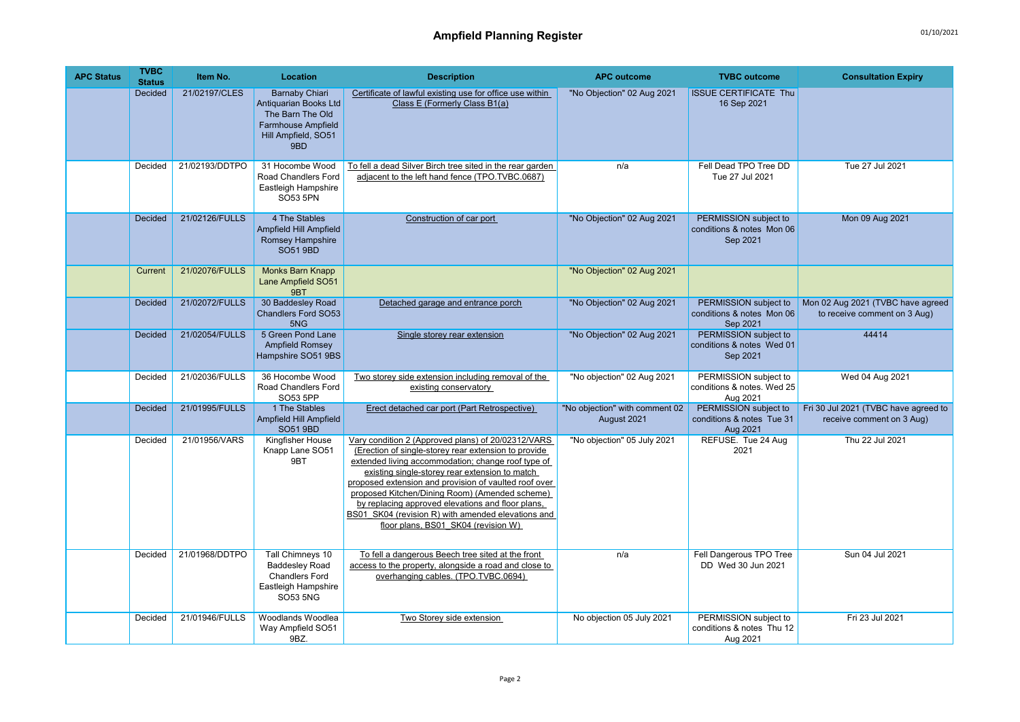| <b>APC Status</b> | <b>TVBC</b><br><b>Status</b> | Item No.       | Location                                                                                                                      | <b>Description</b>                                                                                                                                                                                                                                                                                                                                                                                                                                                              | <b>APC outcome</b>                            | <b>TVBC</b> outcome                                             | <b>Consultation Expiry</b>                                        |
|-------------------|------------------------------|----------------|-------------------------------------------------------------------------------------------------------------------------------|---------------------------------------------------------------------------------------------------------------------------------------------------------------------------------------------------------------------------------------------------------------------------------------------------------------------------------------------------------------------------------------------------------------------------------------------------------------------------------|-----------------------------------------------|-----------------------------------------------------------------|-------------------------------------------------------------------|
|                   | Decided                      | 21/02197/CLES  | <b>Barnaby Chiari</b><br>Antiquarian Books Ltd<br>The Barn The Old<br><b>Farmhouse Ampfield</b><br>Hill Ampfield, SO51<br>9BD | Certificate of lawful existing use for office use within<br>Class E (Formerly Class B1(a)                                                                                                                                                                                                                                                                                                                                                                                       | "No Objection" 02 Aug 2021                    | <b>ISSUE CERTIFICATE Thu</b><br>16 Sep 2021                     |                                                                   |
|                   | Decided                      | 21/02193/DDTPO | 31 Hocombe Wood<br>Road Chandlers Ford<br>Eastleigh Hampshire<br><b>SO53 5PN</b>                                              | To fell a dead Silver Birch tree sited in the rear garden<br>adjacent to the left hand fence (TPO.TVBC.0687)                                                                                                                                                                                                                                                                                                                                                                    | n/a                                           | Fell Dead TPO Tree DD<br>Tue 27 Jul 2021                        | Tue 27 Jul 2021                                                   |
|                   | Decided                      | 21/02126/FULLS | 4 The Stables<br><b>Ampfield Hill Ampfield</b><br>Romsey Hampshire<br><b>SO51 9BD</b>                                         | Construction of car port                                                                                                                                                                                                                                                                                                                                                                                                                                                        | "No Objection" 02 Aug 2021                    | PERMISSION subject to<br>conditions & notes Mon 06<br>Sep 2021  | Mon 09 Aug 2021                                                   |
|                   | Current                      | 21/02076/FULLS | Monks Barn Knapp<br>Lane Ampfield SO51<br>9BT                                                                                 |                                                                                                                                                                                                                                                                                                                                                                                                                                                                                 | "No Objection" 02 Aug 2021                    |                                                                 |                                                                   |
|                   | <b>Decided</b>               | 21/02072/FULLS | 30 Baddesley Road<br><b>Chandlers Ford SO53</b><br>5NG                                                                        | Detached garage and entrance porch                                                                                                                                                                                                                                                                                                                                                                                                                                              | "No Objection" 02 Aug 2021                    | PERMISSION subject to<br>conditions & notes Mon 06<br>Sep 2021  | Mon 02 Aug 2021 (TVBC have agreed<br>to receive comment on 3 Aug) |
|                   | <b>Decided</b>               | 21/02054/FULLS | 5 Green Pond Lane<br><b>Ampfield Romsey</b><br>Hampshire SO51 9BS                                                             | Single storey rear extension                                                                                                                                                                                                                                                                                                                                                                                                                                                    | "No Objection" 02 Aug 2021                    | PERMISSION subject to<br>conditions & notes Wed 01<br>Sep 2021  | 44414                                                             |
|                   | Decided                      | 21/02036/FULLS | 36 Hocombe Wood<br>Road Chandlers Ford<br>SO53 5PP                                                                            | Two storey side extension including removal of the<br>existing conservatory                                                                                                                                                                                                                                                                                                                                                                                                     | "No objection" 02 Aug 2021                    | PERMISSION subject to<br>conditions & notes. Wed 25<br>Aug 2021 | Wed 04 Aug 2021                                                   |
|                   | Decided                      | 21/01995/FULLS | 1 The Stables<br>Ampfield Hill Ampfield<br>SO51 9BD                                                                           | Erect detached car port (Part Retrospective)                                                                                                                                                                                                                                                                                                                                                                                                                                    | "No objection" with comment 02<br>August 2021 | PERMISSION subject to<br>conditions & notes Tue 31<br>Aug 2021  | Fri 30 Jul 2021 (TVBC have agreed to<br>receive comment on 3 Aug) |
|                   | Decided                      | 21/01956/VARS  | Kingfisher House<br>Knapp Lane SO51<br>9BT                                                                                    | Vary condition 2 (Approved plans) of 20/02312/VARS<br>(Erection of single-storey rear extension to provide<br>extended living accommodation; change roof type of<br>existing single-storey rear extension to match<br>proposed extension and provision of vaulted roof over<br>proposed Kitchen/Dining Room) (Amended scheme)<br>by replacing approved elevations and floor plans,<br>BS01 SK04 (revision R) with amended elevations and<br>floor plans, BS01 SK04 (revision W) | "No objection" 05 July 2021                   | REFUSE. Tue 24 Aug<br>2021                                      | Thu 22 Jul 2021                                                   |
|                   | Decided                      | 21/01968/DDTPO | Tall Chimneys 10<br><b>Baddesley Road</b><br><b>Chandlers Ford</b><br>Eastleigh Hampshire<br>SO53 5NG                         | To fell a dangerous Beech tree sited at the front<br>access to the property, alongside a road and close to<br>overhanging cables. (TPO.TVBC.0694)                                                                                                                                                                                                                                                                                                                               | n/a                                           | Fell Dangerous TPO Tree<br>DD Wed 30 Jun 2021                   | Sun 04 Jul 2021                                                   |
|                   | Decided                      | 21/01946/FULLS | Woodlands Woodlea<br>Way Ampfield SO51<br>9BZ.                                                                                | Two Storey side extension                                                                                                                                                                                                                                                                                                                                                                                                                                                       | No objection 05 July 2021                     | PERMISSION subject to<br>conditions & notes Thu 12<br>Aug 2021  | Fri 23 Jul 2021                                                   |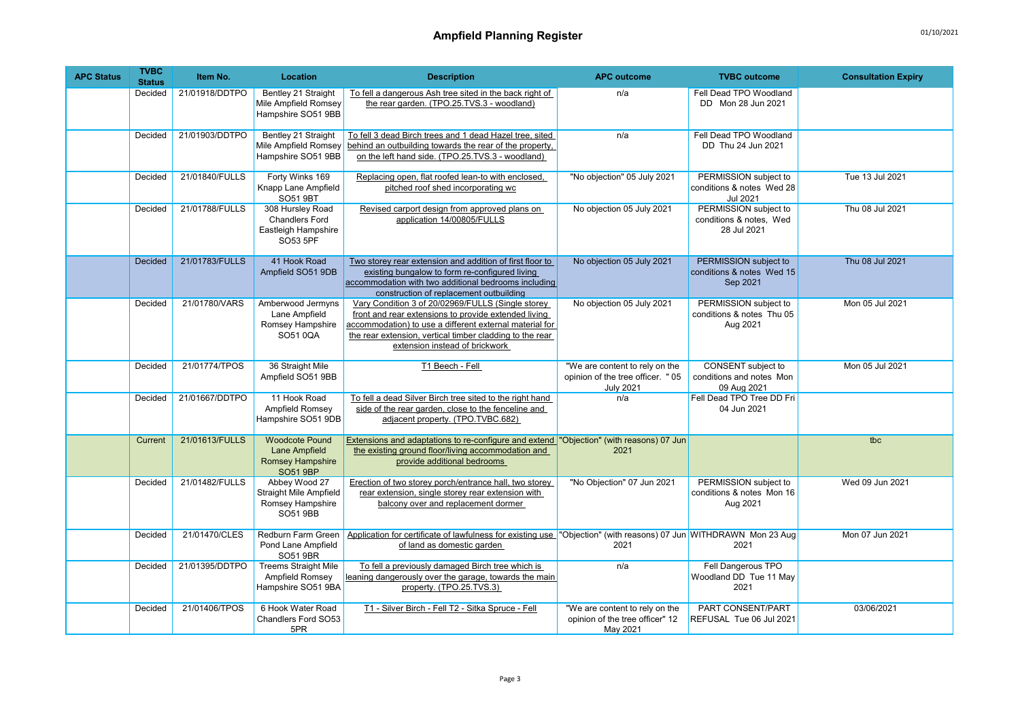| <b>APC Status</b> | <b>TVBC</b><br><b>Status</b> | Item No.       | <b>Location</b>                                                                       | <b>Description</b>                                                                                                                                                                                                                                                 | <b>APC outcome</b>                                                                      | <b>TVBC</b> outcome                                                   | <b>Consultation Expiry</b> |
|-------------------|------------------------------|----------------|---------------------------------------------------------------------------------------|--------------------------------------------------------------------------------------------------------------------------------------------------------------------------------------------------------------------------------------------------------------------|-----------------------------------------------------------------------------------------|-----------------------------------------------------------------------|----------------------------|
|                   | Decided                      | 21/01918/DDTPO | Bentley 21 Straight<br>Mile Ampfield Romsey<br>Hampshire SO51 9BB                     | To fell a dangerous Ash tree sited in the back right of<br>the rear garden. (TPO.25.TVS.3 - woodland)                                                                                                                                                              | n/a                                                                                     | Fell Dead TPO Woodland<br>DD Mon 28 Jun 2021                          |                            |
|                   | Decided                      | 21/01903/DDTPO | Bentley 21 Straight<br>Mile Ampfield Romsey<br>Hampshire SO51 9BB                     | To fell 3 dead Birch trees and 1 dead Hazel tree, sited<br>behind an outbuilding towards the rear of the property,<br>on the left hand side. (TPO.25.TVS.3 - woodland)                                                                                             | n/a                                                                                     | Fell Dead TPO Woodland<br>DD Thu 24 Jun 2021                          |                            |
|                   | Decided                      | 21/01840/FULLS | Forty Winks 169<br>Knapp Lane Ampfield<br>SO51 9BT                                    | Replacing open, flat roofed lean-to with enclosed,<br>pitched roof shed incorporating wc                                                                                                                                                                           | "No objection" 05 July 2021                                                             | PERMISSION subject to<br>conditions & notes Wed 28<br><b>Jul 2021</b> | Tue 13 Jul 2021            |
|                   | Decided                      | 21/01788/FULLS | 308 Hursley Road<br><b>Chandlers Ford</b><br>Eastleigh Hampshire<br>SO53 5PF          | Revised carport design from approved plans on<br>application 14/00805/FULLS                                                                                                                                                                                        | No objection 05 July 2021                                                               | PERMISSION subject to<br>conditions & notes, Wed<br>28 Jul 2021       | Thu 08 Jul 2021            |
|                   | <b>Decided</b>               | 21/01783/FULLS | 41 Hook Road<br>Ampfield SO51 9DB                                                     | Two storey rear extension and addition of first floor to<br>existing bungalow to form re-configured living<br>accommodation with two additional bedrooms including<br>construction of replacement outbuilding                                                      | No objection 05 July 2021                                                               | PERMISSION subject to<br>conditions & notes Wed 15<br>Sep 2021        | Thu 08 Jul 2021            |
|                   | Decided                      | 21/01780/VARS  | Amberwood Jermyns<br>Lane Ampfield<br>Romsey Hampshire<br>SO510QA                     | Vary Condition 3 of 20/02969/FULLS (Single storey<br>front and rear extensions to provide extended living<br>accommodation) to use a different external material for<br>the rear extension, vertical timber cladding to the rear<br>extension instead of brickwork | No objection 05 July 2021                                                               | PERMISSION subject to<br>conditions & notes Thu 05<br>Aug 2021        | Mon 05 Jul 2021            |
|                   | Decided                      | 21/01774/TPOS  | 36 Straight Mile<br>Ampfield SO51 9BB                                                 | T1 Beech - Fell                                                                                                                                                                                                                                                    | "We are content to rely on the<br>opinion of the tree officer. " 05<br><b>July 2021</b> | CONSENT subject to<br>conditions and notes Mon<br>09 Aug 2021         | Mon 05 Jul 2021            |
|                   | Decided                      | 21/01667/DDTPO | 11 Hook Road<br>Ampfield Romsey<br>Hampshire SO51 9DB                                 | To fell a dead Silver Birch tree sited to the right hand<br>side of the rear garden, close to the fenceline and<br>adjacent property. (TPO.TVBC.682)                                                                                                               | n/a                                                                                     | Fell Dead TPO Tree DD Fri<br>04 Jun 2021                              |                            |
|                   | Current                      | 21/01613/FULLS | <b>Woodcote Pound</b><br>Lane Ampfield<br><b>Romsey Hampshire</b><br><b>SO51 9BP</b>  | Extensions and adaptations to re-configure and extend "Objection" (with reasons) 07 Jun<br>the existing ground floor/living accommodation and<br>provide additional bedrooms                                                                                       | 2021                                                                                    |                                                                       | tbc                        |
|                   | Decided                      | 21/01482/FULLS | Abbey Wood 27<br><b>Straight Mile Ampfield</b><br>Romsey Hampshire<br><b>SO51 9BB</b> | Erection of two storey porch/entrance hall, two storey<br>rear extension, single storey rear extension with<br>balcony over and replacement dormer                                                                                                                 | "No Objection" 07 Jun 2021                                                              | PERMISSION subject to<br>conditions & notes Mon 16<br>Aug 2021        | Wed 09 Jun 2021            |
|                   | Decided                      | 21/01470/CLES  | Redburn Farm Green<br>Pond Lane Ampfield<br>SO51 9BR                                  | Application for certificate of lawfulness for existing use "Objection" (with reasons) 07 Jun WITHDRAWN Mon 23 Aug<br>of land as domestic garden                                                                                                                    | 2021                                                                                    | 2021                                                                  | Mon 07 Jun 2021            |
|                   | Decided                      | 21/01395/DDTPO | <b>Treems Straight Mile</b><br>Ampfield Romsey<br>Hampshire SO51 9BA                  | To fell a previously damaged Birch tree which is<br>leaning dangerously over the garage, towards the main<br>property. (TPO.25.TVS.3)                                                                                                                              | n/a                                                                                     | Fell Dangerous TPO<br>Woodland DD Tue 11 May<br>2021                  |                            |
|                   | Decided                      | 21/01406/TPOS  | 6 Hook Water Road<br>Chandlers Ford SO53<br>5PR                                       | T1 - Silver Birch - Fell T2 - Sitka Spruce - Fell                                                                                                                                                                                                                  | "We are content to rely on the<br>opinion of the tree officer" 12<br>May 2021           | PART CONSENT/PART<br>REFUSAL Tue 06 Jul 2021                          | 03/06/2021                 |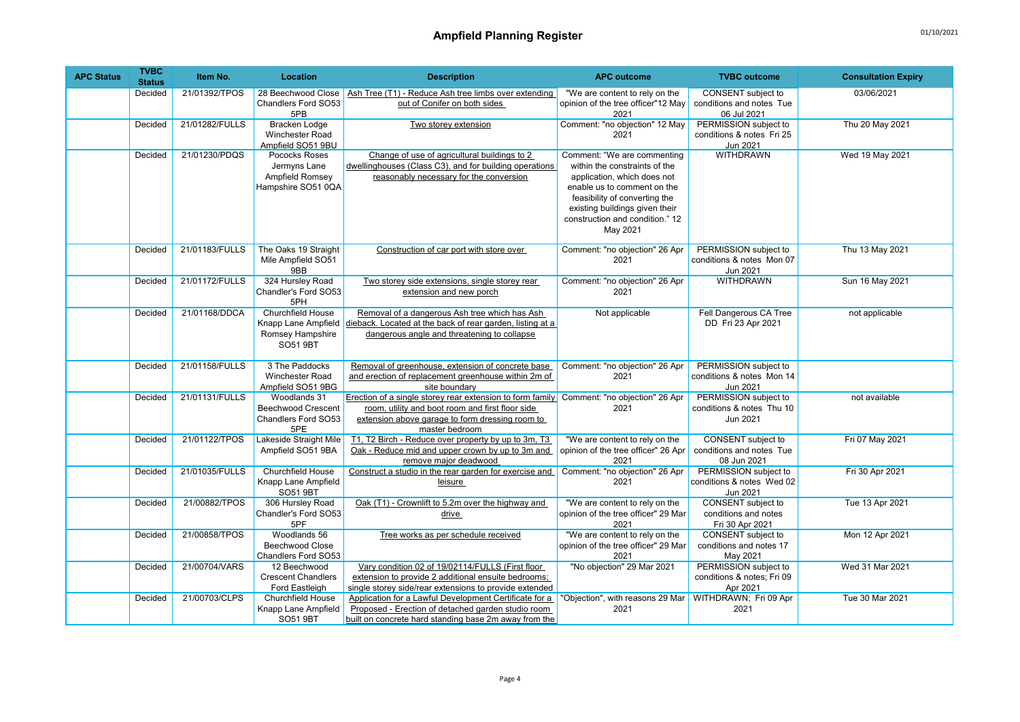| <b>APC Status</b> | <b>TVBC</b><br><b>Status</b> | Item No.       | <b>Location</b>                                                                 | <b>Description</b>                                                                                                                                                                                                | <b>APC outcome</b>                                                                                                                                                                                                                           | <b>TVBC</b> outcome                                                  | <b>Consultation Expiry</b> |
|-------------------|------------------------------|----------------|---------------------------------------------------------------------------------|-------------------------------------------------------------------------------------------------------------------------------------------------------------------------------------------------------------------|----------------------------------------------------------------------------------------------------------------------------------------------------------------------------------------------------------------------------------------------|----------------------------------------------------------------------|----------------------------|
|                   | Decided                      | 21/01392/TPOS  | 28 Beechwood Close<br>Chandlers Ford SO53<br>5PB                                | Ash Tree (T1) - Reduce Ash tree limbs over extending<br>out of Conifer on both sides                                                                                                                              | "We are content to rely on the<br>opinion of the tree officer"12 May<br>2021                                                                                                                                                                 | CONSENT subject to<br>conditions and notes Tue<br>06 Jul 2021        | 03/06/2021                 |
|                   | Decided                      | 21/01282/FULLS | Bracken Lodge<br><b>Winchester Road</b><br>Ampfield SO51 9BU                    | Two storey extension                                                                                                                                                                                              | Comment: "no objection" 12 May<br>2021                                                                                                                                                                                                       | PERMISSION subject to<br>conditions & notes Fri 25<br>Jun 2021       | Thu 20 May 2021            |
|                   | Decided                      | 21/01230/PDQS  | Pococks Roses<br>Jermyns Lane<br>Ampfield Romsey<br>Hampshire SO51 0QA          | Change of use of agricultural buildings to 2<br>dwellinghouses (Class C3), and for building operations<br>reasonably necessary for the conversion                                                                 | Comment: "We are commenting<br>within the constraints of the<br>application, which does not<br>enable us to comment on the<br>feasibility of converting the<br>existing buildings given their<br>construction and condition." 12<br>May 2021 | <b>WITHDRAWN</b>                                                     | Wed 19 May 2021            |
|                   | Decided                      | 21/01183/FULLS | The Oaks 19 Straight<br>Mile Ampfield SO51<br>9BB                               | Construction of car port with store over                                                                                                                                                                          | Comment: "no objection" 26 Apr<br>2021                                                                                                                                                                                                       | PERMISSION subject to<br>conditions & notes Mon 07<br>Jun 2021       | Thu 13 May 2021            |
|                   | Decided                      | 21/01172/FULLS | 324 Hursley Road<br>Chandler's Ford SO53<br>5PH                                 | Two storey side extensions, single storey rear<br>extension and new porch                                                                                                                                         | Comment: "no objection" 26 Apr<br>2021                                                                                                                                                                                                       | <b>WITHDRAWN</b>                                                     | Sun 16 May 2021            |
|                   | Decided                      | 21/01168/DDCA  | <b>Churchfield House</b><br>Knapp Lane Ampfield<br>Romsey Hampshire<br>SO51 9BT | Removal of a dangerous Ash tree which has Ash<br>dieback. Located at the back of rear garden, listing at a<br>dangerous angle and threatening to collapse                                                         | Not applicable                                                                                                                                                                                                                               | Fell Dangerous CA Tree<br>DD Fri 23 Apr 2021                         | not applicable             |
|                   | Decided                      | 21/01158/FULLS | 3 The Paddocks<br>Winchester Road<br>Ampfield SO51 9BG                          | Removal of greenhouse, extension of concrete base<br>and erection of replacement greenhouse within 2m of<br>site boundarv                                                                                         | Comment: "no objection" 26 Apr<br>2021                                                                                                                                                                                                       | PERMISSION subject to<br>conditions & notes Mon 14<br>Jun 2021       |                            |
|                   | Decided                      | 21/01131/FULLS | Woodlands 31<br><b>Beechwood Crescent</b><br>Chandlers Ford SO53<br>5PE         | Erection of a single storey rear extension to form family Comment: "no objection" 26 Apr<br>room, utility and boot room and first floor side<br>extension above garage to form dressing room to<br>master bedroom | 2021                                                                                                                                                                                                                                         | PERMISSION subject to<br>conditions & notes Thu 10<br>Jun 2021       | not available              |
|                   | Decided                      | 21/01122/TPOS  | <b>Lakeside Straight Mile</b><br>Ampfield SO51 9BA                              | T1, T2 Birch - Reduce over property by up to 3m, T3<br>Oak - Reduce mid and upper crown by up to 3m and<br>remove major deadwood                                                                                  | "We are content to rely on the<br>opinion of the tree officer" 26 Apr<br>2021                                                                                                                                                                | <b>CONSENT</b> subject to<br>conditions and notes Tue<br>08 Jun 2021 | Fri 07 May 2021            |
|                   | Decided                      | 21/01035/FULLS | Churchfield House<br>Knapp Lane Ampfield<br><b>SO51 9BT</b>                     | Construct a studio in the rear garden for exercise and<br>leisure                                                                                                                                                 | Comment: "no objection" 26 Apr<br>2021                                                                                                                                                                                                       | PERMISSION subject to<br>conditions & notes Wed 02<br>Jun 2021       | Fri 30 Apr 2021            |
|                   | Decided                      | 21/00882/TPOS  | 306 Hursley Road<br>Chandler's Ford SO53<br>5PF                                 | Oak (T1) - Crownlift to 5.2m over the highway and<br>drive                                                                                                                                                        | "We are content to rely on the<br>opinion of the tree officer" 29 Mar<br>2021                                                                                                                                                                | CONSENT subject to<br>conditions and notes<br>Fri 30 Apr 2021        | Tue 13 Apr 2021            |
|                   | Decided                      | 21/00858/TPOS  | Woodlands 56<br><b>Beechwood Close</b><br>Chandlers Ford SO53                   | Tree works as per schedule received                                                                                                                                                                               | "We are content to rely on the<br>opinion of the tree officer" 29 Mar<br>2021                                                                                                                                                                | CONSENT subject to<br>conditions and notes 17<br>May 2021            | Mon 12 Apr 2021            |
|                   | Decided                      | 21/00704/VARS  | 12 Beechwood<br><b>Crescent Chandlers</b><br>Ford Eastleigh                     | Vary condition 02 of 19/02114/FULLS (First floor<br>extension to provide 2 additional ensuite bedrooms;<br>single storey side/rear extensions to provide extended                                                 | "No objection" 29 Mar 2021                                                                                                                                                                                                                   | PERMISSION subject to<br>conditions & notes; Fri 09<br>Apr 2021      | Wed 31 Mar 2021            |
|                   | Decided                      | 21/00703/CLPS  | Churchfield House<br>Knapp Lane Ampfield<br>SO51 9BT                            | Application for a Lawful Development Certificate for a<br>Proposed - Erection of detached garden studio room<br>built on concrete hard standing base 2m away from the                                             | "Objection", with reasons 29 Mar<br>2021                                                                                                                                                                                                     | WITHDRAWN; Fri 09 Apr<br>2021                                        | Tue 30 Mar 2021            |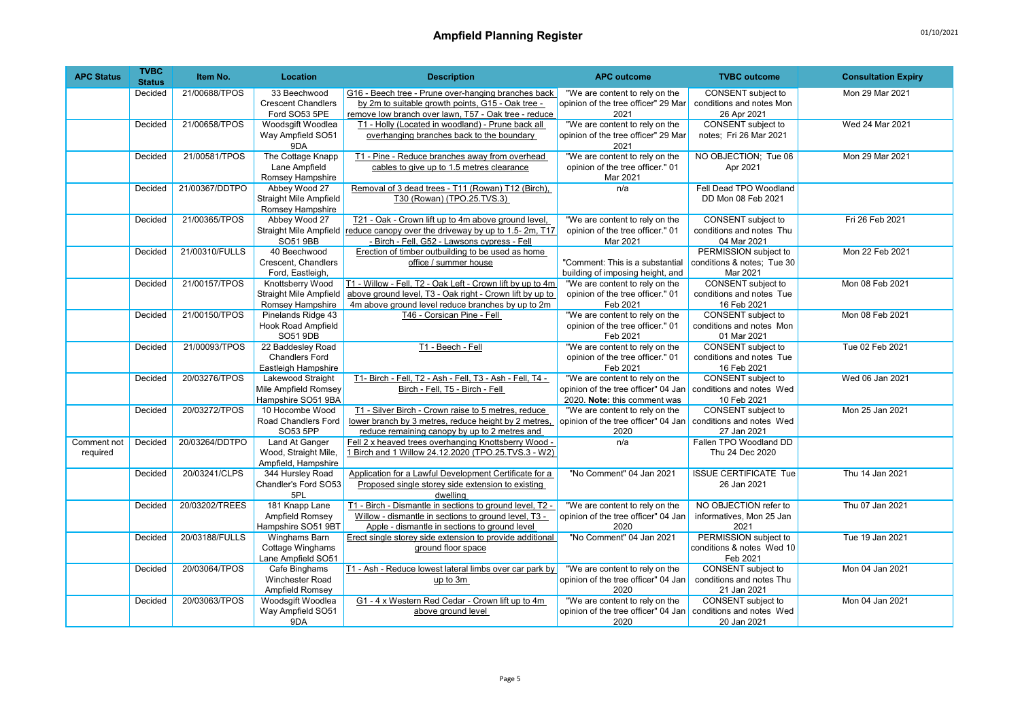| <b>APC Status</b> | <b>TVBC</b><br><b>Status</b> | Item No.       | <b>Location</b>                       | <b>Description</b>                                                          | <b>APC outcome</b>                           | <b>TVBC</b> outcome                     | <b>Consultation Expiry</b> |
|-------------------|------------------------------|----------------|---------------------------------------|-----------------------------------------------------------------------------|----------------------------------------------|-----------------------------------------|----------------------------|
|                   | Decided                      | 21/00688/TPOS  | 33 Beechwood                          | G16 - Beech tree - Prune over-hanging branches back                         | "We are content to rely on the               | CONSENT subject to                      | Mon 29 Mar 2021            |
|                   |                              |                | <b>Crescent Chandlers</b>             | by 2m to suitable growth points, G15 - Oak tree -                           | opinion of the tree officer" 29 Mar          | conditions and notes Mon                |                            |
|                   |                              |                | Ford SO53 5PE                         | remove low branch over lawn, T57 - Oak tree - reduce                        | 2021                                         | 26 Apr 2021                             |                            |
|                   | Decided                      | 21/00658/TPOS  | Woodsgift Woodlea                     | T1 - Holly (Located in woodland) - Prune back all                           | "We are content to rely on the               | CONSENT subject to                      | Wed 24 Mar 2021            |
|                   |                              |                | Way Ampfield SO51<br>9DA              | overhanging branches back to the boundary                                   | opinion of the tree officer" 29 Mar<br>2021  | notes; Fri 26 Mar 2021                  |                            |
|                   | Decided                      | 21/00581/TPOS  | The Cottage Knapp                     | T1 - Pine - Reduce branches away from overhead                              | "We are content to rely on the               | NO OBJECTION; Tue 06                    | Mon 29 Mar 2021            |
|                   |                              |                | Lane Ampfield                         | cables to give up to 1.5 metres clearance                                   | opinion of the tree officer." 01             | Apr 2021                                |                            |
|                   |                              |                | Romsey Hampshire                      |                                                                             | Mar 2021                                     |                                         |                            |
|                   | Decided                      | 21/00367/DDTPO | Abbey Wood 27                         | Removal of 3 dead trees - T11 (Rowan) T12 (Birch),                          | n/a                                          | Fell Dead TPO Woodland                  |                            |
|                   |                              |                | <b>Straight Mile Ampfield</b>         | T30 (Rowan) (TPO.25.TVS.3)                                                  |                                              | DD Mon 08 Feb 2021                      |                            |
|                   |                              |                | Romsey Hampshire                      |                                                                             |                                              |                                         |                            |
|                   | Decided                      | 21/00365/TPOS  | Abbey Wood 27                         | T21 - Oak - Crown lift up to 4m above ground level,                         | "We are content to rely on the               | CONSENT subject to                      | Fri 26 Feb 2021            |
|                   |                              |                |                                       | Straight Mile Ampfield reduce canopy over the driveway by up to 1.5-2m, T17 | opinion of the tree officer." 01             | conditions and notes Thu                |                            |
|                   |                              |                | SO51 9BB                              | - Birch - Fell, G52 - Lawsons cypress - Fell                                | Mar 2021                                     | 04 Mar 2021                             |                            |
|                   | Decided                      | 21/00310/FULLS | 40 Beechwood                          | Erection of timber outbuilding to be used as home                           |                                              | PERMISSION subject to                   | Mon 22 Feb 2021            |
|                   |                              |                | Crescent. Chandlers                   | office / summer house                                                       | "Comment: This is a substantial              | conditions & notes; Tue 30              |                            |
|                   |                              |                | Ford, Eastleigh,                      |                                                                             | building of imposing height, and             | Mar 2021                                |                            |
|                   | Decided                      | 21/00157/TPOS  | Knottsberry Wood                      | T1 - Willow - Fell. T2 - Oak Left - Crown lift by up to 4m                  | "We are content to rely on the               | CONSENT subject to                      | Mon 08 Feb 2021            |
|                   |                              |                | <b>Straight Mile Ampfield</b>         | above ground level, T3 - Oak right - Crown lift by up to                    | opinion of the tree officer." 01             | conditions and notes Tue                |                            |
|                   |                              |                | Romsey Hampshire                      | 4m above ground level reduce branches by up to 2m                           | Feb 2021                                     | 16 Feb 2021                             |                            |
|                   | Decided                      | 21/00150/TPOS  | Pinelands Ridge 43                    | T46 - Corsican Pine - Fell                                                  | "We are content to rely on the               | <b>CONSENT</b> subject to               | Mon 08 Feb 2021            |
|                   |                              |                | <b>Hook Road Ampfield</b><br>SO51 9DB |                                                                             | opinion of the tree officer." 01<br>Feb 2021 | conditions and notes Mon<br>01 Mar 2021 |                            |
|                   | Decided                      | 21/00093/TPOS  | 22 Baddesley Road                     | T1 - Beech - Fell                                                           | "We are content to rely on the               | CONSENT subject to                      | Tue 02 Feb 2021            |
|                   |                              |                | <b>Chandlers Ford</b>                 |                                                                             | opinion of the tree officer." 01             | conditions and notes Tue                |                            |
|                   |                              |                | Eastleigh Hampshire                   |                                                                             | Feb 2021                                     | 16 Feb 2021                             |                            |
|                   | Decided                      | 20/03276/TPOS  | Lakewood Straight                     | T1- Birch - Fell, T2 - Ash - Fell, T3 - Ash - Fell, T4 -                    | "We are content to rely on the               | CONSENT subject to                      | Wed 06 Jan 2021            |
|                   |                              |                | Mile Ampfield Romsey                  | Birch - Fell, T5 - Birch - Fell                                             | opinion of the tree officer" 04 Jan          | conditions and notes Wed                |                            |
|                   |                              |                | Hampshire SO51 9BA                    |                                                                             | 2020. Note: this comment was                 | 10 Feb 2021                             |                            |
|                   | Decided                      | 20/03272/TPOS  | 10 Hocombe Wood                       | T1 - Silver Birch - Crown raise to 5 metres, reduce                         | "We are content to rely on the               | CONSENT subject to                      | Mon 25 Jan 2021            |
|                   |                              |                | Road Chandlers Ford                   | lower branch by 3 metres, reduce height by 2 metres,                        | opinion of the tree officer" 04 Jan          | conditions and notes Wed                |                            |
|                   |                              |                | SO53 5PP                              | reduce remaining canopy by up to 2 metres and                               | 2020                                         | 27 Jan 2021                             |                            |
| Comment not       | Decided                      | 20/03264/DDTPO | Land At Ganger                        | Fell 2 x heaved trees overhanging Knottsberry Wood -                        | n/a                                          | Fallen TPO Woodland DD                  |                            |
| required          |                              |                | Wood, Straight Mile,                  | 1 Birch and 1 Willow 24.12.2020 (TPO.25.TVS.3 - W2)                         |                                              | Thu 24 Dec 2020                         |                            |
|                   |                              |                | Ampfield, Hampshire                   |                                                                             |                                              |                                         |                            |
|                   | Decided                      | 20/03241/CLPS  | 344 Hursley Road                      | Application for a Lawful Development Certificate for a                      | "No Comment" 04 Jan 2021                     | <b>ISSUE CERTIFICATE Tue</b>            | Thu 14 Jan 2021            |
|                   |                              |                | Chandler's Ford SO53                  | Proposed single storey side extension to existing                           |                                              | 26 Jan 2021                             |                            |
|                   | Decided                      | 20/03202/TREES | 5PL<br>181 Knapp Lane                 | dwelling<br>T1 - Birch - Dismantle in sections to ground level, T2 -        | "We are content to rely on the               | NO OBJECTION refer to                   | Thu 07 Jan 2021            |
|                   |                              |                | Ampfield Romsey                       | Willow - dismantle in sections to ground level, T3 -                        | opinion of the tree officer" 04 Jan          | informatives, Mon 25 Jan                |                            |
|                   |                              |                | Hampshire SO51 9BT                    | Apple - dismantle in sections to ground level                               | 2020                                         | 2021                                    |                            |
|                   | Decided                      | 20/03188/FULLS | Winghams Barn                         | Erect single storey side extension to provide additional                    | "No Comment" 04 Jan 2021                     | PERMISSION subject to                   | Tue 19 Jan 2021            |
|                   |                              |                | Cottage Winghams                      | ground floor space                                                          |                                              | conditions & notes Wed 10               |                            |
|                   |                              |                | Lane Ampfield SO51                    |                                                                             |                                              | Feb 2021                                |                            |
|                   | Decided                      | 20/03064/TPOS  | Cafe Binghams                         | T1 - Ash - Reduce lowest lateral limbs over car park by                     | "We are content to rely on the               | CONSENT subject to                      | Mon 04 Jan 2021            |
|                   |                              |                | Winchester Road                       | up to 3m                                                                    | opinion of the tree officer" 04 Jan          | conditions and notes Thu                |                            |
|                   |                              |                | Ampfield Romsev                       |                                                                             | 2020                                         | 21 Jan 2021                             |                            |
|                   | Decided                      | 20/03063/TPOS  | Woodsgift Woodlea                     | G1 - 4 x Western Red Cedar - Crown lift up to 4m                            | "We are content to rely on the               | CONSENT subject to                      | Mon 04 Jan 2021            |
|                   |                              |                | Way Ampfield SO51                     | above ground level                                                          | opinion of the tree officer" 04 Jan          | conditions and notes Wed                |                            |
|                   |                              |                | 9DA                                   |                                                                             | 2020                                         | 20 Jan 2021                             |                            |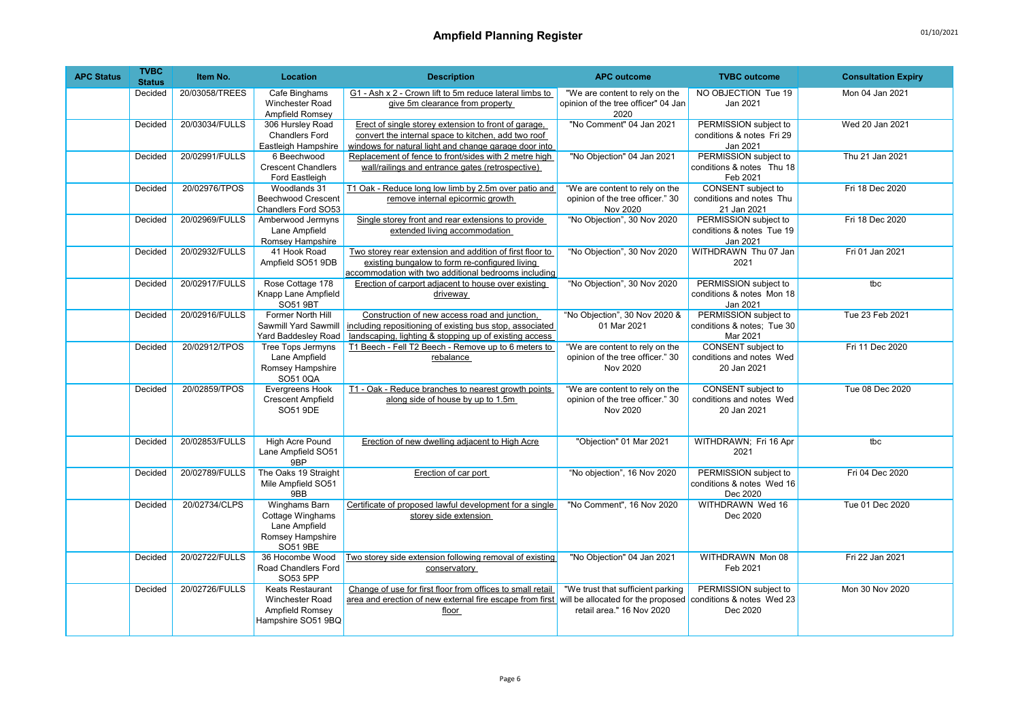| <b>APC Status</b> | <b>TVBC</b><br><b>Status</b> | Item No.       | <b>Location</b>                                                                    | <b>Description</b>                                                                                                                                                   | <b>APC outcome</b>                                                             | <b>TVBC</b> outcome                                                  | <b>Consultation Expiry</b> |
|-------------------|------------------------------|----------------|------------------------------------------------------------------------------------|----------------------------------------------------------------------------------------------------------------------------------------------------------------------|--------------------------------------------------------------------------------|----------------------------------------------------------------------|----------------------------|
|                   | Decided                      | 20/03058/TREES | Cafe Binghams<br>Winchester Road<br>Ampfield Romsey                                | G1 - Ash x 2 - Crown lift to 5m reduce lateral limbs to<br>give 5m clearance from property                                                                           | "We are content to rely on the<br>opinion of the tree officer" 04 Jan<br>2020  | NO OBJECTION Tue 19<br>Jan 2021                                      | Mon 04 Jan 2021            |
|                   | Decided                      | 20/03034/FULLS | 306 Hursley Road<br><b>Chandlers Ford</b><br>Eastleigh Hampshire                   | Erect of single storey extension to front of garage,<br>convert the internal space to kitchen, add two roof<br>windows for natural light and change garage door into | "No Comment" 04 Jan 2021                                                       | PERMISSION subject to<br>conditions & notes Fri 29<br>Jan 2021       | Wed 20 Jan 2021            |
|                   | Decided                      | 20/02991/FULLS | 6 Beechwood<br><b>Crescent Chandlers</b><br>Ford Eastleigh                         | Replacement of fence to front/sides with 2 metre high<br>wall/railings and entrance gates (retrospective)                                                            | "No Objection" 04 Jan 2021                                                     | PERMISSION subject to<br>conditions & notes Thu 18<br>Feb 2021       | Thu 21 Jan 2021            |
|                   | Decided                      | 20/02976/TPOS  | Woodlands 31<br><b>Beechwood Crescent</b><br>Chandlers Ford SO53                   | T1 Oak - Reduce long low limb by 2.5m over patio and<br>remove internal epicormic growth                                                                             | "We are content to rely on the<br>opinion of the tree officer." 30<br>Nov 2020 | <b>CONSENT</b> subject to<br>conditions and notes Thu<br>21 Jan 2021 | Fri 18 Dec 2020            |
|                   | Decided                      | 20/02969/FULLS | Amberwood Jermyns<br>Lane Ampfield<br>Romsey Hampshire                             | Single storey front and rear extensions to provide<br>extended living accommodation                                                                                  | "No Objection", 30 Nov 2020                                                    | PERMISSION subject to<br>conditions & notes Tue 19<br>Jan 2021       | Fri 18 Dec 2020            |
|                   | Decided                      | 20/02932/FULLS | 41 Hook Road<br>Ampfield SO51 9DB                                                  | Two storey rear extension and addition of first floor to<br>existing bungalow to form re-configured living<br>accommodation with two additional bedrooms including   | "No Objection", 30 Nov 2020                                                    | WITHDRAWN Thu 07 Jan<br>2021                                         | Fri 01 Jan 2021            |
|                   | Decided                      | 20/02917/FULLS | Rose Cottage 178<br>Knapp Lane Ampfield<br><b>SO51 9BT</b>                         | Erection of carport adjacent to house over existing<br>driveway                                                                                                      | "No Objection", 30 Nov 2020                                                    | PERMISSION subject to<br>conditions & notes Mon 18<br>Jan 2021       | tbc                        |
|                   | Decided                      | 20/02916/FULLS | Former North Hill<br>Sawmill Yard Sawmill<br>Yard Baddesley Road                   | Construction of new access road and junction,<br>including repositioning of existing bus stop, associated<br>landscaping. lighting & stopping up of existing access  | "No Objection", 30 Nov 2020 &<br>01 Mar 2021                                   | PERMISSION subject to<br>conditions & notes; Tue 30<br>Mar 2021      | Tue 23 Feb 2021            |
|                   | Decided                      | 20/02912/TPOS  | <b>Tree Tops Jermyns</b><br>Lane Ampfield<br>Romsey Hampshire<br>SO510QA           | T1 Beech - Fell T2 Beech - Remove up to 6 meters to<br>rebalance                                                                                                     | "We are content to rely on the<br>opinion of the tree officer." 30<br>Nov 2020 | CONSENT subject to<br>conditions and notes Wed<br>20 Jan 2021        | Fri 11 Dec 2020            |
|                   | Decided                      | 20/02859/TPOS  | Evergreens Hook<br><b>Crescent Ampfield</b><br>SO51 9DE                            | T1 - Oak - Reduce branches to nearest growth points<br>along side of house by up to 1.5m                                                                             | "We are content to rely on the<br>opinion of the tree officer." 30<br>Nov 2020 | CONSENT subject to<br>conditions and notes Wed<br>20 Jan 2021        | Tue 08 Dec 2020            |
|                   | Decided                      | 20/02853/FULLS | <b>High Acre Pound</b><br>Lane Ampfield SO51<br>9BP                                | Erection of new dwelling adjacent to High Acre                                                                                                                       | "Objection" 01 Mar 2021                                                        | WITHDRAWN; Fri 16 Apr<br>2021                                        | tbc                        |
|                   | Decided                      | 20/02789/FULLS | The Oaks 19 Straight<br>Mile Ampfield SO51<br>9BB                                  | Erection of car port                                                                                                                                                 | "No objection", 16 Nov 2020                                                    | PERMISSION subject to<br>conditions & notes Wed 16<br>Dec 2020       | Fri 04 Dec 2020            |
|                   | Decided                      | 20/02734/CLPS  | Winghams Barn<br>Cottage Winghams<br>Lane Ampfield<br>Romsey Hampshire<br>SO51 9BE | Certificate of proposed lawful development for a single<br>storey side extension                                                                                     | "No Comment", 16 Nov 2020                                                      | WITHDRAWN Wed 16<br>Dec 2020                                         | Tue 01 Dec 2020            |
|                   | Decided                      | 20/02722/FULLS | 36 Hocombe Wood<br>Road Chandlers Ford<br>SO53 5PP                                 | Two storey side extension following removal of existing<br>conservatory                                                                                              | "No Objection" 04 Jan 2021                                                     | WITHDRAWN Mon 08<br>Feb 2021                                         | Fri 22 Jan 2021            |
|                   | Decided                      | 20/02726/FULLS | Keats Restaurant<br>Winchester Road<br>Ampfield Romsey<br>Hampshire SO51 9BQ       | Change of use for first floor from offices to small retail<br>area and erection of new external fire escape from first will be allocated for the proposed<br>floor   | "We trust that sufficient parking<br>retail area." 16 Nov 2020                 | PERMISSION subject to<br>conditions & notes Wed 23<br>Dec 2020       | Mon 30 Nov 2020            |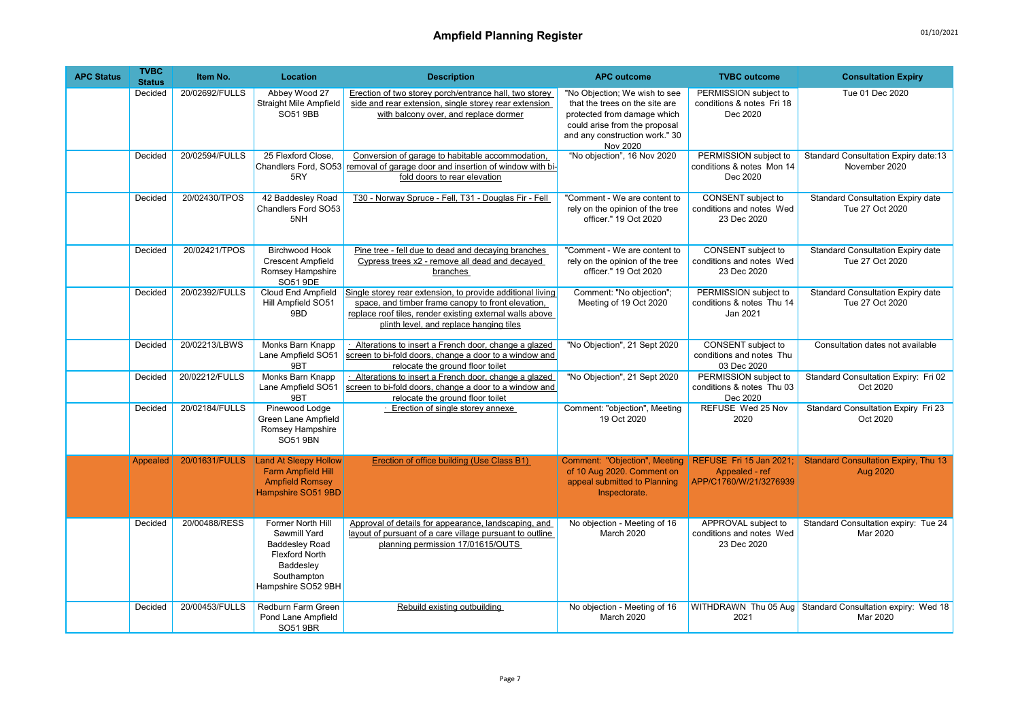| <b>APC Status</b> | <b>TVBC</b><br><b>Status</b> | Item No.       | Location                                                                                                                              | <b>Description</b>                                                                                                                                                                                                      | <b>APC outcome</b>                                                                                                                                                            | <b>TVBC</b> outcome                                                 | <b>Consultation Expiry</b>                                            |
|-------------------|------------------------------|----------------|---------------------------------------------------------------------------------------------------------------------------------------|-------------------------------------------------------------------------------------------------------------------------------------------------------------------------------------------------------------------------|-------------------------------------------------------------------------------------------------------------------------------------------------------------------------------|---------------------------------------------------------------------|-----------------------------------------------------------------------|
|                   | Decided                      | 20/02692/FULLS | Abbey Wood 27<br><b>Straight Mile Ampfield</b><br><b>SO51 9BB</b>                                                                     | Erection of two storey porch/entrance hall, two storey<br>side and rear extension, single storey rear extension<br>with balcony over, and replace dormer                                                                | "No Objection; We wish to see<br>that the trees on the site are<br>protected from damage which<br>could arise from the proposal<br>and any construction work." 30<br>Nov 2020 | PERMISSION subject to<br>conditions & notes Fri 18<br>Dec 2020      | Tue 01 Dec 2020                                                       |
|                   | Decided                      | 20/02594/FULLS | 25 Flexford Close.<br>5RY                                                                                                             | Conversion of garage to habitable accommodation,<br>Chandlers Ford, SO53 removal of garage door and insertion of window with bi-<br>fold doors to rear elevation                                                        | "No objection", 16 Nov 2020                                                                                                                                                   | PERMISSION subject to<br>conditions & notes Mon 14<br>Dec 2020      | Standard Consultation Expiry date:13<br>November 2020                 |
|                   | Decided                      | 20/02430/TPOS  | 42 Baddesley Road<br>Chandlers Ford SO53<br>5NH                                                                                       | T30 - Norway Spruce - Fell, T31 - Douglas Fir - Fell                                                                                                                                                                    | "Comment - We are content to<br>rely on the opinion of the tree<br>officer." 19 Oct 2020                                                                                      | CONSENT subject to<br>conditions and notes Wed<br>23 Dec 2020       | <b>Standard Consultation Expiry date</b><br>Tue 27 Oct 2020           |
|                   | Decided                      | 20/02421/TPOS  | <b>Birchwood Hook</b><br><b>Crescent Ampfield</b><br>Romsey Hampshire<br><b>SO51 9DE</b>                                              | Pine tree - fell due to dead and decaying branches<br>Cypress trees x2 - remove all dead and decayed<br>branches                                                                                                        | "Comment - We are content to<br>rely on the opinion of the tree<br>officer." 19 Oct 2020                                                                                      | CONSENT subject to<br>conditions and notes Wed<br>23 Dec 2020       | <b>Standard Consultation Expiry date</b><br>Tue 27 Oct 2020           |
|                   | Decided                      | 20/02392/FULLS | Cloud End Ampfield<br>Hill Ampfield SO51<br>9BD                                                                                       | Single storey rear extension, to provide additional living<br>space, and timber frame canopy to front elevation,<br>replace roof tiles, render existing external walls above<br>plinth level, and replace hanging tiles | Comment: "No objection";<br>Meeting of 19 Oct 2020                                                                                                                            | PERMISSION subject to<br>conditions & notes Thu 14<br>Jan 2021      | Standard Consultation Expiry date<br>Tue 27 Oct 2020                  |
|                   | Decided                      | 20/02213/LBWS  | Monks Barn Knapp<br>Lane Ampfield SO51<br>9BT                                                                                         | Alterations to insert a French door, change a glazed<br>screen to bi-fold doors, change a door to a window and<br>relocate the ground floor toilet                                                                      | "No Objection", 21 Sept 2020                                                                                                                                                  | CONSENT subject to<br>conditions and notes Thu<br>03 Dec 2020       | Consultation dates not available                                      |
|                   | Decided                      | 20/02212/FULLS | Monks Barn Knapp<br>Lane Ampfield SO51<br>9BT                                                                                         | Alterations to insert a French door, change a glazed<br>screen to bi-fold doors, change a door to a window and<br>relocate the ground floor toilet                                                                      | "No Objection", 21 Sept 2020                                                                                                                                                  | PERMISSION subject to<br>conditions & notes Thu 03<br>Dec 2020      | Standard Consultation Expiry: Fri 02<br>Oct 2020                      |
|                   | Decided                      | 20/02184/FULLS | Pinewood Lodge<br>Green Lane Ampfield<br>Romsey Hampshire<br>SO51 9BN                                                                 | · Erection of single storey annexe                                                                                                                                                                                      | Comment: "objection", Meeting<br>19 Oct 2020                                                                                                                                  | REFUSE Wed 25 Nov<br>2020                                           | Standard Consultation Expiry Fri 23<br>Oct 2020                       |
|                   | Appealed                     | 20/01631/FULLS | <b>Land At Sleepy Hollow</b><br><b>Farm Ampfield Hill</b><br><b>Ampfield Romsey</b><br>Hampshire SO51 9BD                             | Erection of office building (Use Class B1)                                                                                                                                                                              | Comment: "Objection", Meeting<br>of 10 Aug 2020. Comment on<br>appeal submitted to Planning<br>Inspectorate.                                                                  | REFUSE Fri 15 Jan 2021;<br>Appealed - ref<br>APP/C1760/W/21/3276939 | <b>Standard Consultation Expiry, Thu 13</b><br>Aug 2020               |
|                   | Decided                      | 20/00488/RESS  | Former North Hill<br>Sawmill Yard<br><b>Baddesley Road</b><br><b>Flexford North</b><br>Baddesley<br>Southampton<br>Hampshire SO52 9BH | Approval of details for appearance, landscaping, and<br>layout of pursuant of a care village pursuant to outline<br>planning permission 17/01615/OUTS                                                                   | No objection - Meeting of 16<br>March 2020                                                                                                                                    | APPROVAL subject to<br>conditions and notes Wed<br>23 Dec 2020      | Standard Consultation expiry: Tue 24<br>Mar 2020                      |
|                   | Decided                      | 20/00453/FULLS | Redburn Farm Green<br>Pond Lane Ampfield<br>SO51 9BR                                                                                  | Rebuild existing outbuilding                                                                                                                                                                                            | No objection - Meeting of 16<br>March 2020                                                                                                                                    | 2021                                                                | WITHDRAWN Thu 05 Aug Standard Consultation expiry: Wed 18<br>Mar 2020 |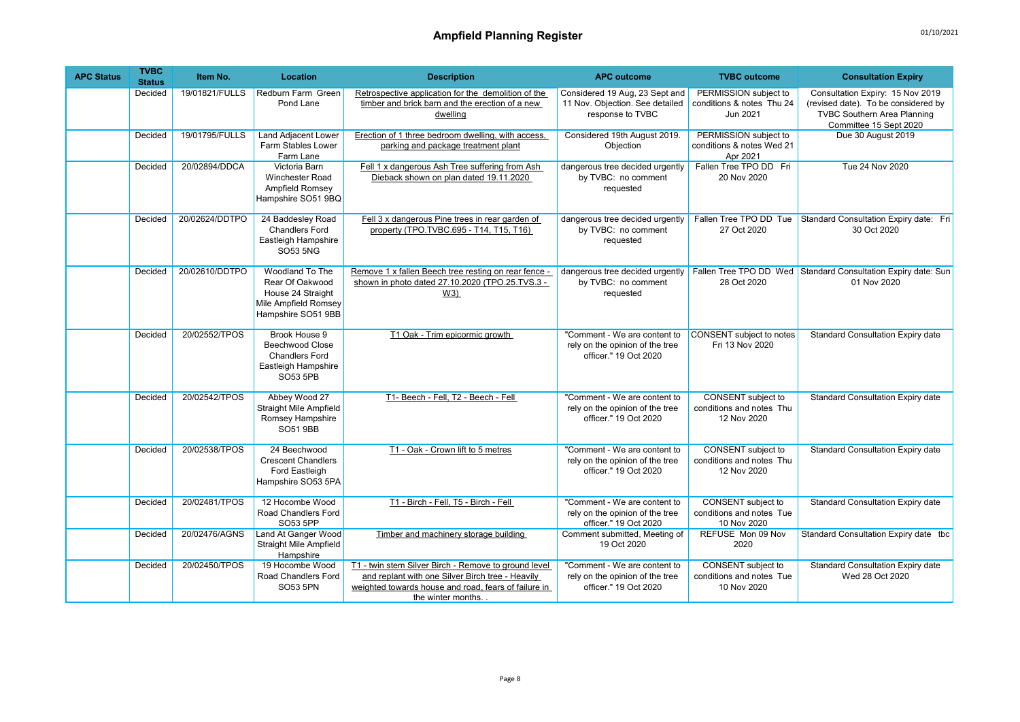| <b>APC Status</b> | <b>TVBC</b><br><b>Status</b> | Item No.       | <b>Location</b>                                                                                       | <b>Description</b>                                                                                                                                                                     | <b>APC outcome</b>                                                                       | <b>TVBC</b> outcome                                                  | <b>Consultation Expiry</b>                                                                                                              |
|-------------------|------------------------------|----------------|-------------------------------------------------------------------------------------------------------|----------------------------------------------------------------------------------------------------------------------------------------------------------------------------------------|------------------------------------------------------------------------------------------|----------------------------------------------------------------------|-----------------------------------------------------------------------------------------------------------------------------------------|
|                   | Decided                      | 19/01821/FULLS | Redburn Farm Green<br>Pond Lane                                                                       | Retrospective application for the demolition of the<br>timber and brick barn and the erection of a new<br>dwelling                                                                     | Considered 19 Aug, 23 Sept and<br>11 Nov. Objection. See detailed<br>response to TVBC    | PERMISSION subject to<br>conditions & notes Thu 24<br>Jun 2021       | Consultation Expiry: 15 Nov 2019<br>(revised date). To be considered by<br><b>TVBC Southern Area Planning</b><br>Committee 15 Sept 2020 |
|                   | Decided                      | 19/01795/FULLS | <b>Land Adjacent Lower</b><br>Farm Stables Lower<br>Farm Lane                                         | Erection of 1 three bedroom dwelling, with access,<br>parking and package treatment plant                                                                                              | Considered 19th August 2019.<br>Objection                                                | PERMISSION subject to<br>conditions & notes Wed 21<br>Apr 2021       | Due 30 August 2019                                                                                                                      |
|                   | Decided                      | 20/02894/DDCA  | Victoria Barn<br>Winchester Road<br>Ampfield Romsey<br>Hampshire SO51 9BQ                             | Fell 1 x dangerous Ash Tree suffering from Ash<br>Dieback shown on plan dated 19.11.2020                                                                                               | dangerous tree decided urgently<br>by TVBC: no comment<br>requested                      | Fallen Tree TPO DD Fri<br>20 Nov 2020                                | Tue 24 Nov 2020                                                                                                                         |
|                   | Decided                      | 20/02624/DDTPO | 24 Baddesley Road<br><b>Chandlers Ford</b><br>Eastleigh Hampshire<br>SO53 5NG                         | Fell 3 x dangerous Pine trees in rear garden of<br>property (TPO.TVBC.695 - T14, T15, T16)                                                                                             | dangerous tree decided urgently<br>by TVBC: no comment<br>requested                      | Fallen Tree TPO DD Tue<br>27 Oct 2020                                | Standard Consultation Expiry date: Fri<br>30 Oct 2020                                                                                   |
|                   | Decided                      | 20/02610/DDTPO | Woodland To The<br>Rear Of Oakwood<br>House 24 Straight<br>Mile Ampfield Romsey<br>Hampshire SO51 9BB | Remove 1 x fallen Beech tree resting on rear fence -<br>shown in photo dated 27.10.2020 (TPO.25.TVS.3 -<br>W3)                                                                         | dangerous tree decided urgently<br>by TVBC: no comment<br>requested                      | 28 Oct 2020                                                          | Fallen Tree TPO DD Wed Standard Consultation Expiry date: Sun<br>01 Nov 2020                                                            |
|                   | Decided                      | 20/02552/TPOS  | Brook House 9<br><b>Beechwood Close</b><br><b>Chandlers Ford</b><br>Eastleigh Hampshire<br>SO53 5PB   | T1 Oak - Trim epicormic growth                                                                                                                                                         | "Comment - We are content to<br>rely on the opinion of the tree<br>officer." 19 Oct 2020 | <b>CONSENT</b> subject to notes<br>Fri 13 Nov 2020                   | <b>Standard Consultation Expiry date</b>                                                                                                |
|                   | Decided                      | 20/02542/TPOS  | Abbey Wood 27<br><b>Straight Mile Ampfield</b><br>Romsey Hampshire<br>SO51 9BB                        | T1- Beech - Fell. T2 - Beech - Fell                                                                                                                                                    | "Comment - We are content to<br>rely on the opinion of the tree<br>officer." 19 Oct 2020 | <b>CONSENT</b> subject to<br>conditions and notes Thu<br>12 Nov 2020 | <b>Standard Consultation Expiry date</b>                                                                                                |
|                   | Decided                      | 20/02538/TPOS  | 24 Beechwood<br><b>Crescent Chandlers</b><br>Ford Eastleigh<br>Hampshire SO53 5PA                     | T1 - Oak - Crown lift to 5 metres                                                                                                                                                      | "Comment - We are content to<br>rely on the opinion of the tree<br>officer." 19 Oct 2020 | <b>CONSENT</b> subject to<br>conditions and notes Thu<br>12 Nov 2020 | <b>Standard Consultation Expiry date</b>                                                                                                |
|                   | Decided                      | 20/02481/TPOS  | 12 Hocombe Wood<br>Road Chandlers Ford<br>SO53 5PP                                                    | T1 - Birch - Fell, T5 - Birch - Fell                                                                                                                                                   | "Comment - We are content to<br>rely on the opinion of the tree<br>officer." 19 Oct 2020 | <b>CONSENT</b> subject to<br>conditions and notes Tue<br>10 Nov 2020 | <b>Standard Consultation Expiry date</b>                                                                                                |
|                   | Decided                      | 20/02476/AGNS  | Land At Ganger Wood<br><b>Straight Mile Ampfield</b><br>Hampshire                                     | Timber and machinery storage building                                                                                                                                                  | Comment submitted, Meeting of<br>19 Oct 2020                                             | REFUSE Mon 09 Nov<br>2020                                            | Standard Consultation Expiry date tbc                                                                                                   |
|                   | Decided                      | 20/02450/TPOS  | 19 Hocombe Wood<br>Road Chandlers Ford<br>SO53 5PN                                                    | T1 - twin stem Silver Birch - Remove to ground level<br>and replant with one Silver Birch tree - Heavily<br>weighted towards house and road, fears of failure in<br>the winter months. | "Comment - We are content to<br>rely on the opinion of the tree<br>officer." 19 Oct 2020 | <b>CONSENT</b> subject to<br>conditions and notes Tue<br>10 Nov 2020 | <b>Standard Consultation Expiry date</b><br>Wed 28 Oct 2020                                                                             |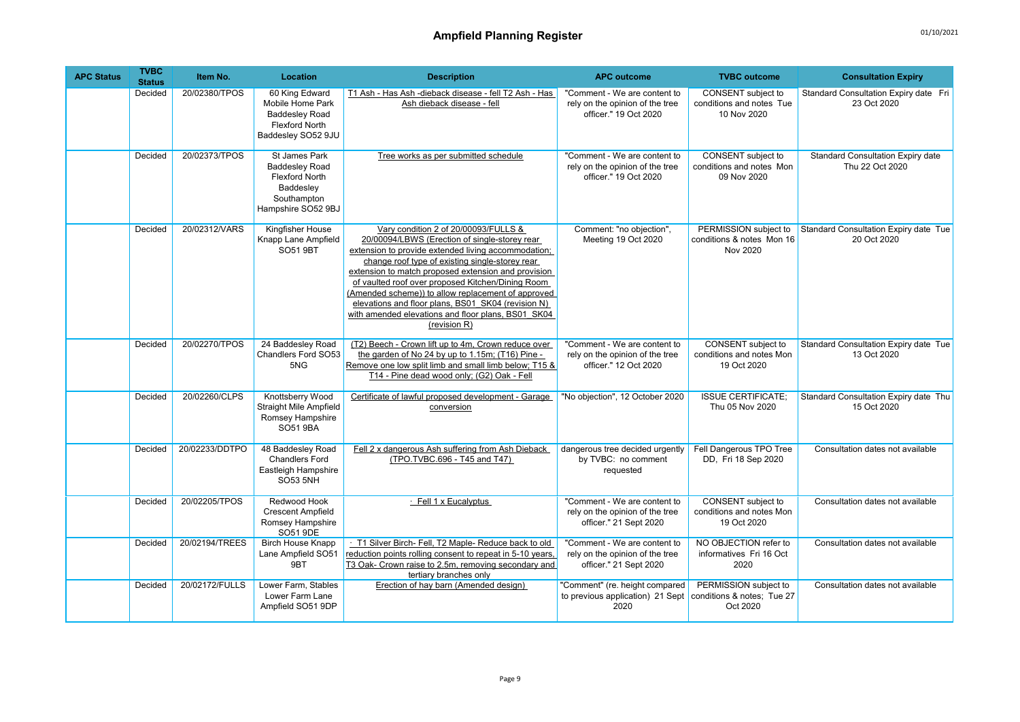| <b>APC Status</b> | <b>TVBC</b><br><b>Status</b> | Item No.       | Location                                                                                                          | <b>Description</b>                                                                                                                                                                                                                                                                                                                                                                                                                                                                            | <b>APC outcome</b>                                                                        | <b>TVBC</b> outcome                                             | <b>Consultation Expiry</b>                                  |
|-------------------|------------------------------|----------------|-------------------------------------------------------------------------------------------------------------------|-----------------------------------------------------------------------------------------------------------------------------------------------------------------------------------------------------------------------------------------------------------------------------------------------------------------------------------------------------------------------------------------------------------------------------------------------------------------------------------------------|-------------------------------------------------------------------------------------------|-----------------------------------------------------------------|-------------------------------------------------------------|
|                   | Decided                      | 20/02380/TPOS  | 60 King Edward<br>Mobile Home Park<br><b>Baddesley Road</b><br><b>Flexford North</b><br>Baddesley SO52 9JU        | T1 Ash - Has Ash - dieback disease - fell T2 Ash - Has<br>Ash dieback disease - fell                                                                                                                                                                                                                                                                                                                                                                                                          | "Comment - We are content to<br>rely on the opinion of the tree<br>officer." 19 Oct 2020  | CONSENT subject to<br>conditions and notes Tue<br>10 Nov 2020   | Standard Consultation Expiry date Fri<br>23 Oct 2020        |
|                   | Decided                      | 20/02373/TPOS  | St James Park<br><b>Baddesley Road</b><br><b>Flexford North</b><br>Baddesley<br>Southampton<br>Hampshire SO52 9BJ | Tree works as per submitted schedule                                                                                                                                                                                                                                                                                                                                                                                                                                                          | "Comment - We are content to<br>rely on the opinion of the tree<br>officer." 19 Oct 2020  | CONSENT subject to<br>conditions and notes Mon<br>09 Nov 2020   | <b>Standard Consultation Expiry date</b><br>Thu 22 Oct 2020 |
|                   | Decided                      | 20/02312/VARS  | Kingfisher House<br>Knapp Lane Ampfield<br>SO51 9BT                                                               | Vary condition 2 of 20/00093/FULLS &<br>20/00094/LBWS (Erection of single-storey rear<br>extension to provide extended living accommodation;<br>change roof type of existing single-storey rear<br>extension to match proposed extension and provision<br>of vaulted roof over proposed Kitchen/Dining Room<br>(Amended scheme)) to allow replacement of approved<br>elevations and floor plans, BS01 SK04 (revision N)<br>with amended elevations and floor plans, BS01 SK04<br>(revision R) | Comment: "no objection",<br>Meeting 19 Oct 2020                                           | PERMISSION subject to<br>conditions & notes Mon 16<br>Nov 2020  | Standard Consultation Expiry date Tue<br>20 Oct 2020        |
|                   | Decided                      | 20/02270/TPOS  | 24 Baddesley Road<br>Chandlers Ford SO53<br>5NG                                                                   | (T2) Beech - Crown lift up to 4m, Crown reduce over<br>the garden of No 24 by up to 1.15m; (T16) Pine -<br>Remove one low split limb and small limb below; T15 &<br>T14 - Pine dead wood only; (G2) Oak - Fell                                                                                                                                                                                                                                                                                | "Comment - We are content to<br>rely on the opinion of the tree<br>officer." 12 Oct 2020  | CONSENT subject to<br>conditions and notes Mon<br>19 Oct 2020   | Standard Consultation Expiry date Tue<br>13 Oct 2020        |
|                   | Decided                      | 20/02260/CLPS  | Knottsberry Wood<br><b>Straight Mile Ampfield</b><br>Romsey Hampshire<br>SO51 9BA                                 | Certificate of lawful proposed development - Garage<br>conversion                                                                                                                                                                                                                                                                                                                                                                                                                             | "No objection", 12 October 2020                                                           | <b>ISSUE CERTIFICATE:</b><br>Thu 05 Nov 2020                    | Standard Consultation Expiry date Thu<br>15 Oct 2020        |
|                   | Decided                      | 20/02233/DDTPO | 48 Baddesley Road<br><b>Chandlers Ford</b><br>Eastleigh Hampshire<br><b>SO53 5NH</b>                              | Fell 2 x dangerous Ash suffering from Ash Dieback<br>(TPO.TVBC.696 - T45 and T47)                                                                                                                                                                                                                                                                                                                                                                                                             | dangerous tree decided urgently<br>by TVBC: no comment<br>requested                       | Fell Dangerous TPO Tree<br>DD, Fri 18 Sep 2020                  | Consultation dates not available                            |
|                   | Decided                      | 20/02205/TPOS  | Redwood Hook<br><b>Crescent Ampfield</b><br>Romsey Hampshire<br>SO51 9DE                                          | · Fell 1 x Eucalyptus                                                                                                                                                                                                                                                                                                                                                                                                                                                                         | "Comment - We are content to<br>rely on the opinion of the tree<br>officer." 21 Sept 2020 | CONSENT subject to<br>conditions and notes Mon<br>19 Oct 2020   | Consultation dates not available                            |
|                   | Decided                      | 20/02194/TREES | <b>Birch House Knapp</b><br>Lane Ampfield SO51<br>9BT                                                             | T1 Silver Birch- Fell, T2 Maple- Reduce back to old<br>reduction points rolling consent to repeat in 5-10 years,<br>T3 Oak- Crown raise to 2.5m, removing secondary and<br>tertiary branches only                                                                                                                                                                                                                                                                                             | "Comment - We are content to<br>rely on the opinion of the tree<br>officer." 21 Sept 2020 | NO OBJECTION refer to<br>informatives Fri 16 Oct<br>2020        | Consultation dates not available                            |
|                   | Decided                      | 20/02172/FULLS | Lower Farm, Stables<br>Lower Farm Lane<br>Ampfield SO51 9DP                                                       | Erection of hay barn (Amended design)                                                                                                                                                                                                                                                                                                                                                                                                                                                         | "Comment" (re. height compared<br>to previous application) 21 Sept<br>2020                | PERMISSION subject to<br>conditions & notes: Tue 27<br>Oct 2020 | Consultation dates not available                            |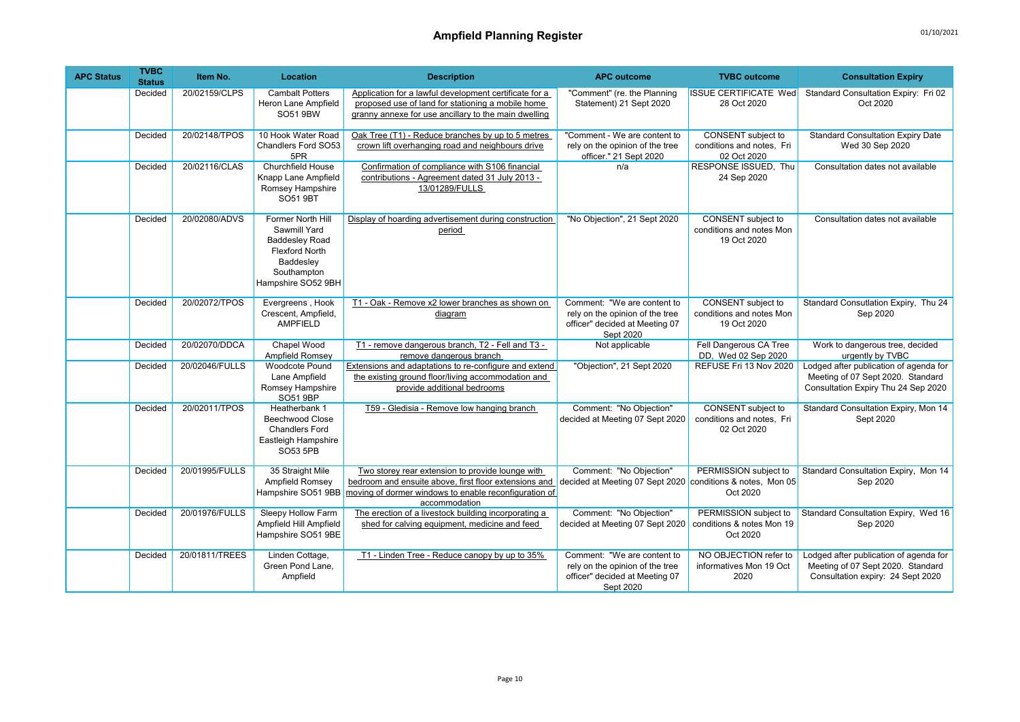| <b>APC Status</b> | <b>TVBC</b><br><b>Status</b> | Item No.       | Location                                                                                                                              | <b>Description</b>                                                                                                                                                                  | <b>APC outcome</b>                                                                                            | <b>TVBC</b> outcome                                                   | <b>Consultation Expiry</b>                                                                                         |
|-------------------|------------------------------|----------------|---------------------------------------------------------------------------------------------------------------------------------------|-------------------------------------------------------------------------------------------------------------------------------------------------------------------------------------|---------------------------------------------------------------------------------------------------------------|-----------------------------------------------------------------------|--------------------------------------------------------------------------------------------------------------------|
|                   | Decided                      | 20/02159/CLPS  | <b>Cambalt Potters</b><br>Heron Lane Ampfield<br><b>SO51 9BW</b>                                                                      | Application for a lawful development certificate for a<br>proposed use of land for stationing a mobile home<br>granny annexe for use ancillary to the main dwelling                 | "Comment" (re. the Planning<br>Statement) 21 Sept 2020                                                        | <b>ISSUE CERTIFICATE Wed</b><br>28 Oct 2020                           | Standard Consultation Expiry: Fri 02<br>Oct 2020                                                                   |
|                   | Decided                      | 20/02148/TPOS  | 10 Hook Water Road<br>Chandlers Ford SO53<br>5PR                                                                                      | Oak Tree (T1) - Reduce branches by up to 5 metres<br>crown lift overhanging road and neighbours drive                                                                               | "Comment - We are content to<br>rely on the opinion of the tree<br>officer." 21 Sept 2020                     | CONSENT subject to<br>conditions and notes. Fri<br>02 Oct 2020        | <b>Standard Consultation Expiry Date</b><br>Wed 30 Sep 2020                                                        |
|                   | Decided                      | 20/02116/CLAS  | <b>Churchfield House</b><br>Knapp Lane Ampfield<br>Romsey Hampshire<br><b>SO51 9BT</b>                                                | Confirmation of compliance with S106 financial<br>contributions - Agreement dated 31 July 2013 -<br>13/01289/FULLS                                                                  | n/a                                                                                                           | RESPONSE ISSUED, Thu<br>24 Sep 2020                                   | Consultation dates not available                                                                                   |
|                   | Decided                      | 20/02080/ADVS  | Former North Hill<br>Sawmill Yard<br><b>Baddesley Road</b><br><b>Flexford North</b><br>Baddesley<br>Southampton<br>Hampshire SO52 9BH | Display of hoarding advertisement during construction<br>period                                                                                                                     | "No Objection", 21 Sept 2020                                                                                  | <b>CONSENT</b> subject to<br>conditions and notes Mon<br>19 Oct 2020  | Consultation dates not available                                                                                   |
|                   | Decided                      | 20/02072/TPOS  | Evergreens, Hook<br>Crescent, Ampfield,<br>AMPFIELD                                                                                   | T1 - Oak - Remove x2 lower branches as shown on<br>diagram                                                                                                                          | Comment: "We are content to<br>rely on the opinion of the tree<br>officer" decided at Meeting 07<br>Sept 2020 | <b>CONSENT</b> subject to<br>conditions and notes Mon<br>19 Oct 2020  | Standard Consutlation Expiry, Thu 24<br>Sep 2020                                                                   |
|                   | Decided                      | 20/02070/DDCA  | Chapel Wood<br>Ampfield Romsey                                                                                                        | T1 - remove dangerous branch, T2 - Fell and T3 -<br>remove dangerous branch                                                                                                         | Not applicable                                                                                                | Fell Dangerous CA Tree<br>DD, Wed 02 Sep 2020                         | Work to dangerous tree, decided<br>urgently by TVBC                                                                |
|                   | Decided                      | 20/02046/FULLS | <b>Woodcote Pound</b><br>Lane Ampfield<br>Romsey Hampshire<br>SO51 9BP                                                                | Extensions and adaptations to re-configure and extend<br>the existing ground floor/living accommodation and<br>provide additional bedrooms                                          | "Objection", 21 Sept 2020                                                                                     | REFUSE Fri 13 Nov 2020                                                | Lodged after publication of agenda for<br>Meeting of 07 Sept 2020. Standard<br>Consultation Expiry Thu 24 Sep 2020 |
|                   | Decided                      | 20/02011/TPOS  | Heatherbank 1<br>Beechwood Close<br><b>Chandlers Ford</b><br>Eastleigh Hampshire<br>SO53 5PB                                          | T59 - Gledisia - Remove low hanging branch                                                                                                                                          | Comment: "No Objection"<br>decided at Meeting 07 Sept 2020                                                    | <b>CONSENT</b> subject to<br>conditions and notes, Fri<br>02 Oct 2020 | Standard Consultation Expiry, Mon 14<br>Sept 2020                                                                  |
|                   | Decided                      | 20/01995/FULLS | 35 Straight Mile<br>Ampfield Romsey<br>Hampshire SO51 9BB                                                                             | Two storey rear extension to provide lounge with<br>bedroom and ensuite above, first floor extensions and<br>moving of dormer windows to enable reconfiguration of<br>accommodation | Comment: "No Objection"<br>decided at Meeting 07 Sept 2020                                                    | PERMISSION subject to<br>conditions & notes, Mon 05<br>Oct 2020       | Standard Consultation Expiry, Mon 14<br>Sep 2020                                                                   |
|                   | Decided                      | 20/01976/FULLS | <b>Sleepy Hollow Farm</b><br>Ampfield Hill Ampfield<br>Hampshire SO51 9BE                                                             | The erection of a livestock building incorporating a<br>shed for calving equipment, medicine and feed                                                                               | Comment: "No Objection"<br>decided at Meeting 07 Sept 2020                                                    | PERMISSION subject to<br>conditions & notes Mon 19<br>Oct 2020        | Standard Consultation Expiry, Wed 16<br>Sep 2020                                                                   |
|                   | Decided                      | 20/01811/TREES | Linden Cottage,<br>Green Pond Lane,<br>Ampfield                                                                                       | T1 - Linden Tree - Reduce canopy by up to 35%                                                                                                                                       | Comment: "We are content to<br>rely on the opinion of the tree<br>officer" decided at Meeting 07<br>Sept 2020 | NO OBJECTION refer to<br>informatives Mon 19 Oct<br>2020              | Lodged after publication of agenda for<br>Meeting of 07 Sept 2020. Standard<br>Consultation expiry: 24 Sept 2020   |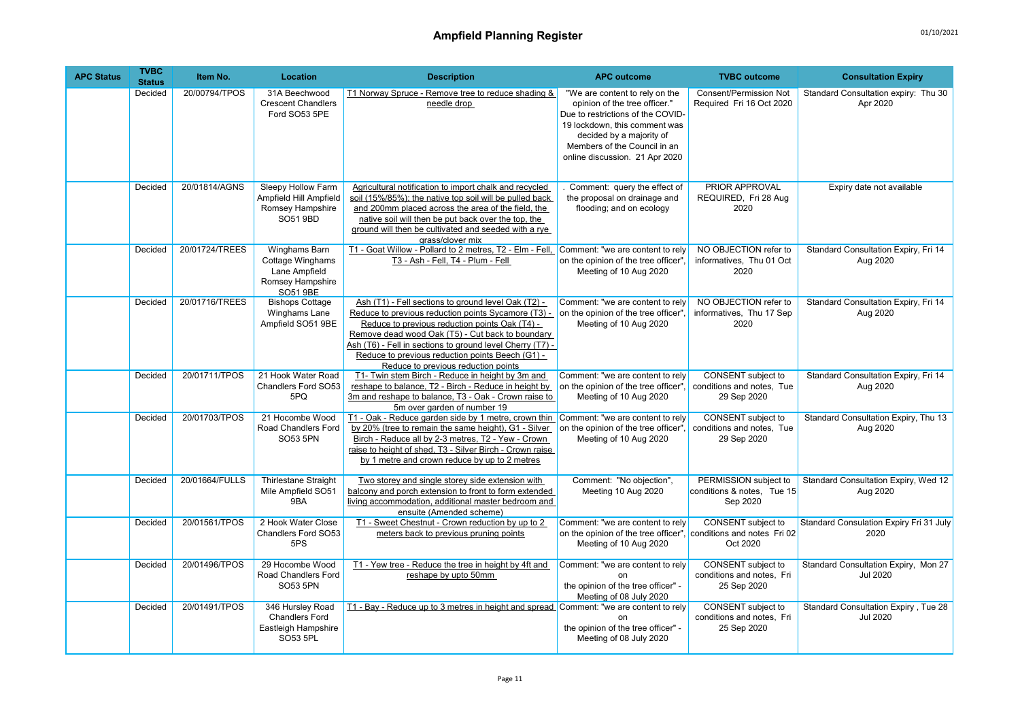| <b>APC Status</b> | <b>TVBC</b><br><b>Status</b> | Item No.       | Location                                                                           | <b>Description</b>                                                                                                                                                                                                                                                                                                                                                       | <b>APC outcome</b>                                                                                                                                                                                                                  | <b>TVBC</b> outcome                                                   | <b>Consultation Expiry</b>                                     |
|-------------------|------------------------------|----------------|------------------------------------------------------------------------------------|--------------------------------------------------------------------------------------------------------------------------------------------------------------------------------------------------------------------------------------------------------------------------------------------------------------------------------------------------------------------------|-------------------------------------------------------------------------------------------------------------------------------------------------------------------------------------------------------------------------------------|-----------------------------------------------------------------------|----------------------------------------------------------------|
|                   | Decided                      | 20/00794/TPOS  | 31A Beechwood<br><b>Crescent Chandlers</b><br>Ford SO53 5PE                        | T1 Norway Spruce - Remove tree to reduce shading &<br>needle drop                                                                                                                                                                                                                                                                                                        | "We are content to rely on the<br>opinion of the tree officer."<br>Due to restrictions of the COVID-<br>19 lockdown, this comment was<br>decided by a majority of<br>Members of the Council in an<br>online discussion. 21 Apr 2020 | <b>Consent/Permission Not</b><br>Required Fri 16 Oct 2020             | Standard Consultation expiry: Thu 30<br>Apr 2020               |
|                   | Decided                      | 20/01814/AGNS  | Sleepy Hollow Farm<br>Ampfield Hill Ampfield<br>Romsey Hampshire<br>SO51 9BD       | Agricultural notification to import chalk and recycled<br>soil (15%/85%); the native top soil will be pulled back<br>and 200mm placed across the area of the field, the<br>native soil will then be put back over the top, the<br>ground will then be cultivated and seeded with a rye<br>grass/clover mix                                                               | Comment: query the effect of<br>the proposal on drainage and<br>flooding; and on ecology                                                                                                                                            | PRIOR APPROVAL<br>REQUIRED, Fri 28 Aug<br>2020                        | Expiry date not available                                      |
|                   | Decided                      | 20/01724/TREES | Winghams Barn<br>Cottage Winghams<br>Lane Ampfield<br>Romsey Hampshire<br>SO51 9BE | T1 - Goat Willow - Pollard to 2 metres, T2 - Elm - Fell,<br>T3 - Ash - Fell, T4 - Plum - Fell                                                                                                                                                                                                                                                                            | Comment: "we are content to rely<br>on the opinion of the tree officer".<br>Meeting of 10 Aug 2020                                                                                                                                  | NO OBJECTION refer to<br>informatives, Thu 01 Oct<br>2020             | Standard Consultation Expiry, Fri 14<br>Aug 2020               |
|                   | Decided                      | 20/01716/TREES | <b>Bishops Cottage</b><br>Winghams Lane<br>Ampfield SO51 9BE                       | Ash (T1) - Fell sections to ground level Oak (T2) -<br>Reduce to previous reduction points Sycamore (T3) -<br>Reduce to previous reduction points Oak (T4) -<br>Remove dead wood Oak (T5) - Cut back to boundary<br>Ash (T6) - Fell in sections to ground level Cherry (T7) -<br>Reduce to previous reduction points Beech (G1) -<br>Reduce to previous reduction points | Comment: "we are content to rely<br>on the opinion of the tree officer".<br>Meeting of 10 Aug 2020                                                                                                                                  | NO OBJECTION refer to<br>informatives, Thu 17 Sep<br>2020             | Standard Consultation Expiry, Fri 14<br>Aug 2020               |
|                   | Decided                      | 20/01711/TPOS  | 21 Hook Water Road<br><b>Chandlers Ford SO53</b><br>5PQ                            | T1- Twin stem Birch - Reduce in height by 3m and<br>reshape to balance, T2 - Birch - Reduce in height by<br>3m and reshape to balance, T3 - Oak - Crown raise to<br>5m over garden of number 19                                                                                                                                                                          | Comment: "we are content to rely<br>on the opinion of the tree officer",<br>Meeting of 10 Aug 2020                                                                                                                                  | <b>CONSENT</b> subject to<br>conditions and notes, Tue<br>29 Sep 2020 | Standard Consultation Expiry, Fri 14<br>Aug 2020               |
|                   | Decided                      | 20/01703/TPOS  | 21 Hocombe Wood<br>Road Chandlers Ford<br>SO53 5PN                                 | T1 - Oak - Reduce garden side by 1 metre, crown thin<br>by 20% (tree to remain the same height), G1 - Silver<br>Birch - Reduce all by 2-3 metres, T2 - Yew - Crown<br>raise to height of shed, T3 - Silver Birch - Crown raise<br>by 1 metre and crown reduce by up to 2 metres                                                                                          | Comment: "we are content to rely<br>on the opinion of the tree officer",<br>Meeting of 10 Aug 2020                                                                                                                                  | CONSENT subject to<br>conditions and notes, Tue<br>29 Sep 2020        | Standard Consultation Expiry, Thu 13<br>Aug 2020               |
|                   | Decided                      | 20/01664/FULLS | <b>Thirlestane Straight</b><br>Mile Ampfield SO51<br>9BA                           | Two storey and single storey side extension with<br>balcony and porch extension to front to form extended<br>living accommodation, additional master bedroom and<br>ensuite (Amended scheme)                                                                                                                                                                             | Comment: "No objection",<br>Meeting 10 Aug 2020                                                                                                                                                                                     | PERMISSION subject to<br>conditions & notes, Tue 15<br>Sep 2020       | Standard Consultation Expiry, Wed 12<br>Aug 2020               |
|                   | Decided                      | 20/01561/TPOS  | 2 Hook Water Close<br><b>Chandlers Ford SO53</b><br>5PS                            | T1 - Sweet Chestnut - Crown reduction by up to 2<br>meters back to previous pruning points                                                                                                                                                                                                                                                                               | Comment: "we are content to rely<br>on the opinion of the tree officer", conditions and notes Fri 02<br>Meeting of 10 Aug 2020                                                                                                      | CONSENT subject to<br>Oct 2020                                        | Standard Consulation Expiry Fri 31 July<br>2020                |
|                   | Decided                      | 20/01496/TPOS  | 29 Hocombe Wood<br>Road Chandlers Ford<br>SO53 5PN                                 | T1 - Yew tree - Reduce the tree in height by 4ft and<br>reshape by upto 50mm                                                                                                                                                                                                                                                                                             | Comment: "we are content to rely<br>the opinion of the tree officer" -<br>Meeting of 08 July 2020                                                                                                                                   | CONSENT subject to<br>conditions and notes, Fri<br>25 Sep 2020        | Standard Consultation Expiry, Mon 27<br><b>Jul 2020</b>        |
|                   | Decided                      | 20/01491/TPOS  | 346 Hursley Road<br><b>Chandlers Ford</b><br>Eastleigh Hampshire<br>SO53 5PL       | T1 - Bay - Reduce up to 3 metres in height and spread Comment: "we are content to rely                                                                                                                                                                                                                                                                                   | the opinion of the tree officer" -<br>Meeting of 08 July 2020                                                                                                                                                                       | CONSENT subject to<br>conditions and notes, Fri<br>25 Sep 2020        | <b>Standard Consultation Expiry, Tue 28</b><br><b>Jul 2020</b> |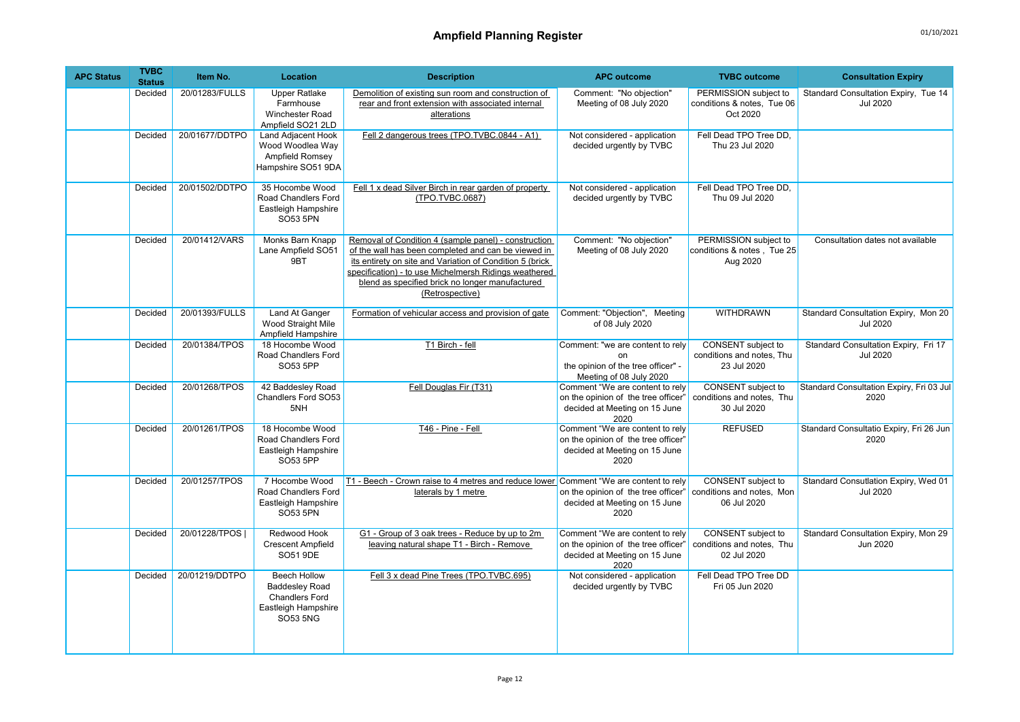| <b>APC Status</b> | <b>TVBC</b><br><b>Status</b> | Item No.       | <b>Location</b>                                                                                                 | <b>Description</b>                                                                                                                                                                                                                                                                                     | <b>APC outcome</b>                                                                                              | <b>TVBC</b> outcome                                             | <b>Consultation Expiry</b>                              |
|-------------------|------------------------------|----------------|-----------------------------------------------------------------------------------------------------------------|--------------------------------------------------------------------------------------------------------------------------------------------------------------------------------------------------------------------------------------------------------------------------------------------------------|-----------------------------------------------------------------------------------------------------------------|-----------------------------------------------------------------|---------------------------------------------------------|
|                   | Decided                      | 20/01283/FULLS | <b>Upper Ratlake</b><br>Farmhouse<br><b>Winchester Road</b><br>Ampfield SO21 2LD                                | Demolition of existing sun room and construction of<br>rear and front extension with associated internal<br>alterations                                                                                                                                                                                | Comment: "No objection"<br>Meeting of 08 July 2020                                                              | PERMISSION subject to<br>conditions & notes, Tue 06<br>Oct 2020 | Standard Consultation Expiry, Tue 14<br><b>Jul 2020</b> |
|                   | Decided                      | 20/01677/DDTPO | <b>Land Adjacent Hook</b><br>Wood Woodlea Way<br><b>Ampfield Romsey</b><br>Hampshire SO51 9DA                   | Fell 2 dangerous trees (TPO.TVBC.0844 - A1)                                                                                                                                                                                                                                                            | Not considered - application<br>decided urgently by TVBC                                                        | Fell Dead TPO Tree DD,<br>Thu 23 Jul 2020                       |                                                         |
|                   | Decided                      | 20/01502/DDTPO | 35 Hocombe Wood<br>Road Chandlers Ford<br>Eastleigh Hampshire<br>SO53 5PN                                       | Fell 1 x dead Silver Birch in rear garden of property<br>(TPO.TVBC.0687)                                                                                                                                                                                                                               | Not considered - application<br>decided urgently by TVBC                                                        | Fell Dead TPO Tree DD.<br>Thu 09 Jul 2020                       |                                                         |
|                   | Decided                      | 20/01412/VARS  | Monks Barn Knapp<br>Lane Ampfield SO51<br>9BT                                                                   | Removal of Condition 4 (sample panel) - construction<br>of the wall has been completed and can be viewed in<br>its entirety on site and Variation of Condition 5 (brick<br>specification) - to use Michelmersh Ridings weathered<br>blend as specified brick no longer manufactured<br>(Retrospective) | Comment: "No objection"<br>Meeting of 08 July 2020                                                              | PERMISSION subject to<br>conditions & notes, Tue 25<br>Aug 2020 | Consultation dates not available                        |
|                   | Decided                      | 20/01393/FULLS | Land At Ganger<br>Wood Straight Mile<br>Ampfield Hampshire                                                      | Formation of vehicular access and provision of gate                                                                                                                                                                                                                                                    | Comment: "Objection", Meeting<br>of 08 July 2020                                                                | <b>WITHDRAWN</b>                                                | Standard Consultation Expiry, Mon 20<br><b>Jul 2020</b> |
|                   | Decided                      | 20/01384/TPOS  | 18 Hocombe Wood<br>Road Chandlers Ford<br>SO53 5PP                                                              | T1 Birch - fell                                                                                                                                                                                                                                                                                        | Comment: "we are content to rely<br>on<br>the opinion of the tree officer" -<br>Meeting of 08 July 2020         | CONSENT subject to<br>conditions and notes, Thu<br>23 Jul 2020  | Standard Consultation Expiry, Fri 17<br><b>Jul 2020</b> |
|                   | Decided                      | 20/01268/TPOS  | 42 Baddesley Road<br>Chandlers Ford SO53<br>5NH                                                                 | Fell Douglas Fir (T31)                                                                                                                                                                                                                                                                                 | Comment "We are content to rely<br>on the opinion of the tree officer'<br>decided at Meeting on 15 June<br>2020 | CONSENT subject to<br>conditions and notes, Thu<br>30 Jul 2020  | Standard Consultation Expiry, Fri 03 Jul<br>2020        |
|                   | Decided                      | 20/01261/TPOS  | 18 Hocombe Wood<br>Road Chandlers Ford<br>Eastleigh Hampshire<br>SO53 5PP                                       | T46 - Pine - Fell                                                                                                                                                                                                                                                                                      | Comment "We are content to rely<br>on the opinion of the tree officer"<br>decided at Meeting on 15 June<br>2020 | <b>REFUSED</b>                                                  | Standard Consultatio Expiry, Fri 26 Jun<br>2020         |
|                   | Decided                      | 20/01257/TPOS  | 7 Hocombe Wood<br>Road Chandlers Ford<br>Eastleigh Hampshire<br><b>SO53 5PN</b>                                 | T1 - Beech - Crown raise to 4 metres and reduce lower Comment "We are content to rely<br>laterals by 1 metre                                                                                                                                                                                           | on the opinion of the tree officer'<br>decided at Meeting on 15 June<br>2020                                    | CONSENT subject to<br>conditions and notes, Mon<br>06 Jul 2020  | Standard Consutlation Expiry, Wed 01<br><b>Jul 2020</b> |
|                   | Decided                      | 20/01228/TPOS  | Redwood Hook<br><b>Crescent Ampfield</b><br>SO51 9DE                                                            | G1 - Group of 3 oak trees - Reduce by up to 2m<br>leaving natural shape T1 - Birch - Remove                                                                                                                                                                                                            | Comment "We are content to rely<br>on the opinion of the tree officer'<br>decided at Meeting on 15 June<br>2020 | CONSENT subject to<br>conditions and notes, Thu<br>02 Jul 2020  | Standard Consultation Expiry, Mon 29<br>Jun 2020        |
|                   | Decided                      | 20/01219/DDTPO | <b>Beech Hollow</b><br><b>Baddesley Road</b><br><b>Chandlers Ford</b><br>Eastleigh Hampshire<br><b>SO53 5NG</b> | Fell 3 x dead Pine Trees (TPO.TVBC.695)                                                                                                                                                                                                                                                                | Not considered - application<br>decided urgently by TVBC                                                        | Fell Dead TPO Tree DD<br>Fri 05 Jun 2020                        |                                                         |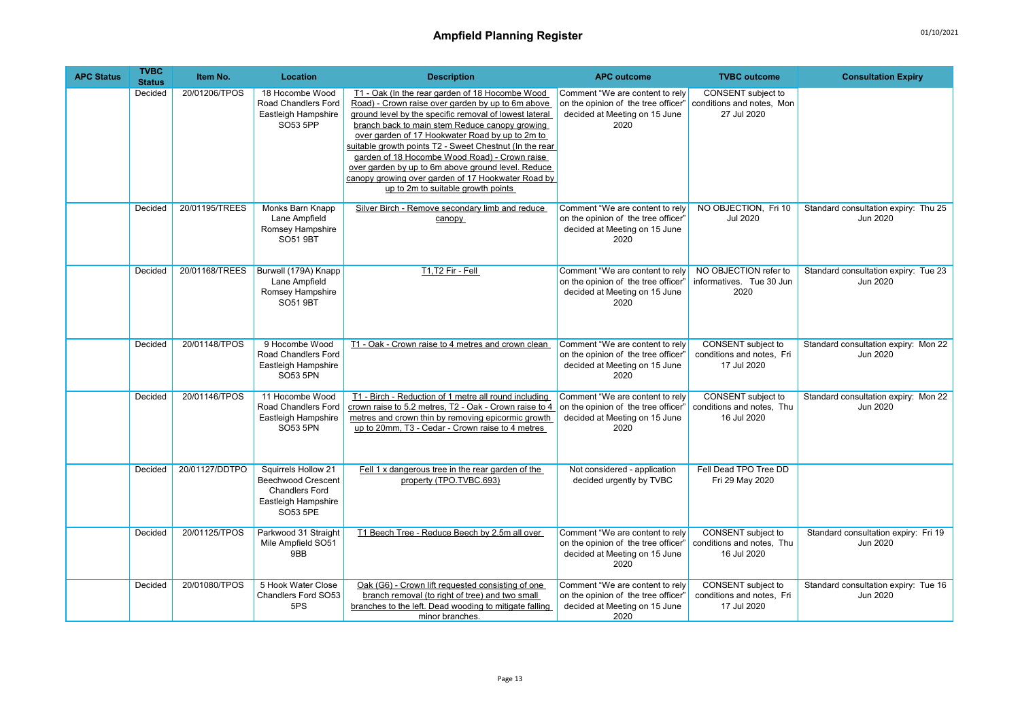| <b>APC Status</b> | <b>TVBC</b><br><b>Status</b> | Item No.       | Location                                                                                       | <b>Description</b>                                                                                                                                                                                                                                                                                                                                                                                                                                                                                                                | <b>APC outcome</b>                                                                                              | <b>TVBC</b> outcome                                                   | <b>Consultation Expiry</b>                       |
|-------------------|------------------------------|----------------|------------------------------------------------------------------------------------------------|-----------------------------------------------------------------------------------------------------------------------------------------------------------------------------------------------------------------------------------------------------------------------------------------------------------------------------------------------------------------------------------------------------------------------------------------------------------------------------------------------------------------------------------|-----------------------------------------------------------------------------------------------------------------|-----------------------------------------------------------------------|--------------------------------------------------|
|                   | Decided                      | 20/01206/TPOS  | 18 Hocombe Wood<br>Road Chandlers Ford<br>Eastleigh Hampshire<br>SO53 5PP                      | T1 - Oak (In the rear garden of 18 Hocombe Wood<br>Road) - Crown raise over garden by up to 6m above<br>ground level by the specific removal of lowest lateral<br>branch back to main stem Reduce canopy growing<br>over garden of 17 Hookwater Road by up to 2m to<br>suitable growth points T2 - Sweet Chestnut (In the rear<br>garden of 18 Hocombe Wood Road) - Crown raise<br>over garden by up to 6m above ground level. Reduce<br>canopy growing over garden of 17 Hookwater Road by<br>up to 2m to suitable growth points | Comment "We are content to rely<br>on the opinion of the tree officer"<br>decided at Meeting on 15 June<br>2020 | CONSENT subject to<br>conditions and notes, Mon<br>27 Jul 2020        |                                                  |
|                   | Decided                      | 20/01195/TREES | Monks Barn Knapp<br>Lane Ampfield<br>Romsey Hampshire<br><b>SO51 9BT</b>                       | Silver Birch - Remove secondary limb and reduce<br>canopy                                                                                                                                                                                                                                                                                                                                                                                                                                                                         | Comment "We are content to rely<br>on the opinion of the tree officer"<br>decided at Meeting on 15 June<br>2020 | NO OBJECTION, Fri 10<br><b>Jul 2020</b>                               | Standard consultation expiry: Thu 25<br>Jun 2020 |
|                   | Decided                      | 20/01168/TREES | Burwell (179A) Knapp<br>Lane Ampfield<br>Romsey Hampshire<br>SO51 9BT                          | T1,T2 Fir - Fell                                                                                                                                                                                                                                                                                                                                                                                                                                                                                                                  | Comment "We are content to rely<br>on the opinion of the tree officer'<br>decided at Meeting on 15 June<br>2020 | NO OBJECTION refer to<br>informatives. Tue 30 Jun<br>2020             | Standard consultation expiry: Tue 23<br>Jun 2020 |
|                   | Decided                      | 20/01148/TPOS  | 9 Hocombe Wood<br>Road Chandlers Ford<br>Eastleigh Hampshire<br>SO53 5PN                       | T1 - Oak - Crown raise to 4 metres and crown clean                                                                                                                                                                                                                                                                                                                                                                                                                                                                                | Comment "We are content to rely<br>on the opinion of the tree officer"<br>decided at Meeting on 15 June<br>2020 | CONSENT subject to<br>conditions and notes, Fri<br>17 Jul 2020        | Standard consultation expiry: Mon 22<br>Jun 2020 |
|                   | Decided                      | 20/01146/TPOS  | 11 Hocombe Wood<br>Road Chandlers Ford<br>Eastleigh Hampshire<br>SO53 5PN                      | T1 - Birch - Reduction of 1 metre all round including<br>crown raise to 5.2 metres, T2 - Oak - Crown raise to 4<br>metres and crown thin by removing epicormic growth<br>up to 20mm, T3 - Cedar - Crown raise to 4 metres                                                                                                                                                                                                                                                                                                         | Comment "We are content to rely<br>on the opinion of the tree officer"<br>decided at Meeting on 15 June<br>2020 | CONSENT subject to<br>conditions and notes, Thu<br>16 Jul 2020        | Standard consultation expiry: Mon 22<br>Jun 2020 |
|                   | Decided                      | 20/01127/DDTPO | Squirrels Hollow 21<br>Beechwood Crescent<br>Chandlers Ford<br>Eastleigh Hampshire<br>SO53 5PE | Fell 1 x dangerous tree in the rear garden of the<br>property (TPO.TVBC.693)                                                                                                                                                                                                                                                                                                                                                                                                                                                      | Not considered - application<br>decided urgently by TVBC                                                        | Fell Dead TPO Tree DD<br>Fri 29 May 2020                              |                                                  |
|                   | Decided                      | 20/01125/TPOS  | Parkwood 31 Straight<br>Mile Ampfield SO51<br>9BB                                              | T1 Beech Tree - Reduce Beech by 2.5m all over                                                                                                                                                                                                                                                                                                                                                                                                                                                                                     | Comment "We are content to rely<br>on the opinion of the tree officer"<br>decided at Meeting on 15 June<br>2020 | CONSENT subject to<br>conditions and notes, Thu<br>16 Jul 2020        | Standard consultation expiry: Fri 19<br>Jun 2020 |
|                   | Decided                      | 20/01080/TPOS  | 5 Hook Water Close<br>Chandlers Ford SO53<br>5PS                                               | Oak (G6) - Crown lift requested consisting of one<br>branch removal (to right of tree) and two small<br>branches to the left. Dead wooding to mitigate falling<br>minor branches.                                                                                                                                                                                                                                                                                                                                                 | Comment "We are content to rely<br>on the opinion of the tree officer"<br>decided at Meeting on 15 June<br>2020 | <b>CONSENT</b> subject to<br>conditions and notes, Fri<br>17 Jul 2020 | Standard consultation expiry: Tue 16<br>Jun 2020 |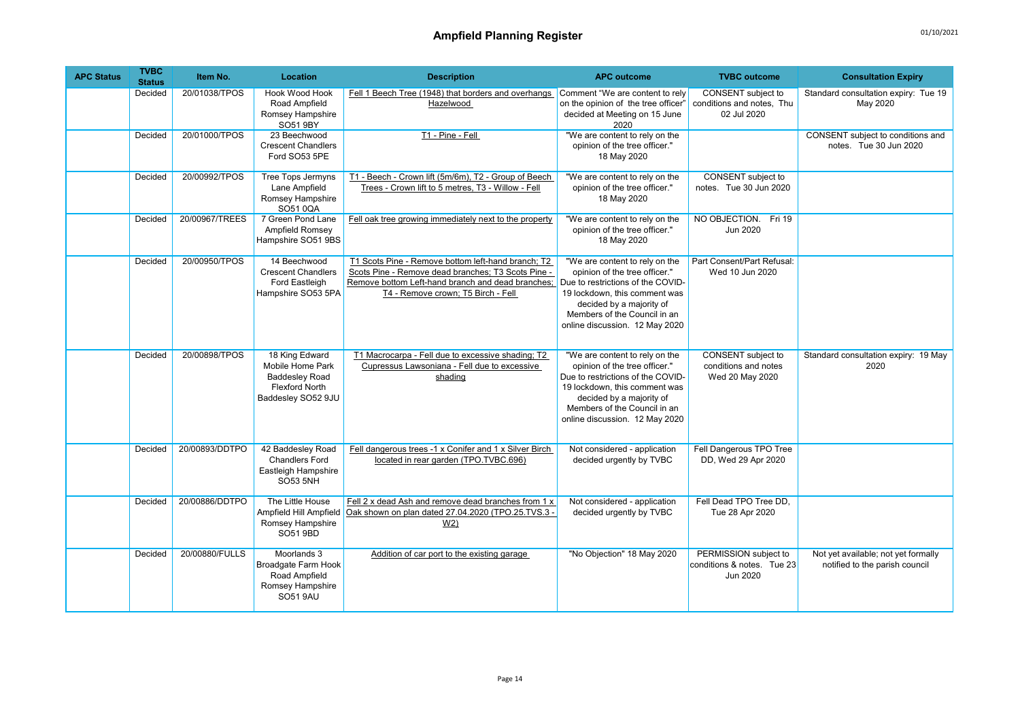| <b>APC Status</b> | <b>TVBC</b><br><b>Status</b> | Item No.       | Location                                                                                                   | <b>Description</b>                                                                                                                                                                                  | <b>APC outcome</b>                                                                                                                                                                                                                  | <b>TVBC</b> outcome                                                  | <b>Consultation Expiry</b>                                            |
|-------------------|------------------------------|----------------|------------------------------------------------------------------------------------------------------------|-----------------------------------------------------------------------------------------------------------------------------------------------------------------------------------------------------|-------------------------------------------------------------------------------------------------------------------------------------------------------------------------------------------------------------------------------------|----------------------------------------------------------------------|-----------------------------------------------------------------------|
|                   | Decided                      | 20/01038/TPOS  | <b>Hook Wood Hook</b><br>Road Ampfield<br>Romsey Hampshire<br>SO51 9BY                                     | Fell 1 Beech Tree (1948) that borders and overhangs Comment "We are content to rely<br>Hazelwood                                                                                                    | on the opinion of the tree officer"<br>decided at Meeting on 15 June<br>2020                                                                                                                                                        | CONSENT subject to<br>conditions and notes. Thu<br>02 Jul 2020       | Standard consultation expiry: Tue 19<br>May 2020                      |
|                   | Decided                      | 20/01000/TPOS  | 23 Beechwood<br><b>Crescent Chandlers</b><br>Ford SO53 5PE                                                 | T1 - Pine - Fell                                                                                                                                                                                    | "We are content to rely on the<br>opinion of the tree officer."<br>18 May 2020                                                                                                                                                      |                                                                      | CONSENT subject to conditions and<br>notes. Tue 30 Jun 2020           |
|                   | Decided                      | 20/00992/TPOS  | Tree Tops Jermyns<br>Lane Ampfield<br>Romsey Hampshire<br>SO510QA                                          | T1 - Beech - Crown lift (5m/6m), T2 - Group of Beech<br>Trees - Crown lift to 5 metres, T3 - Willow - Fell                                                                                          | "We are content to rely on the<br>opinion of the tree officer."<br>18 May 2020                                                                                                                                                      | CONSENT subject to<br>notes. Tue 30 Jun 2020                         |                                                                       |
|                   | Decided                      | 20/00967/TREES | 7 Green Pond Lane<br>Ampfield Romsey<br>Hampshire SO51 9BS                                                 | Fell oak tree growing immediately next to the property                                                                                                                                              | "We are content to rely on the<br>opinion of the tree officer."<br>18 May 2020                                                                                                                                                      | NO OBJECTION. Fri 19<br>Jun 2020                                     |                                                                       |
|                   | Decided                      | 20/00950/TPOS  | 14 Beechwood<br><b>Crescent Chandlers</b><br>Ford Eastleigh<br>Hampshire SO53 5PA                          | T1 Scots Pine - Remove bottom left-hand branch; T2<br>Scots Pine - Remove dead branches: T3 Scots Pine -<br>Remove bottom Left-hand branch and dead branches;<br>T4 - Remove crown; T5 Birch - Fell | "We are content to rely on the<br>opinion of the tree officer."<br>Due to restrictions of the COVID-<br>19 lockdown, this comment was<br>decided by a majority of<br>Members of the Council in an<br>online discussion. 12 May 2020 | Part Consent/Part Refusal:<br>Wed 10 Jun 2020                        |                                                                       |
|                   | Decided                      | 20/00898/TPOS  | 18 King Edward<br>Mobile Home Park<br><b>Baddesley Road</b><br><b>Flexford North</b><br>Baddesley SO52 9JU | T1 Macrocarpa - Fell due to excessive shading; T2<br>Cupressus Lawsoniana - Fell due to excessive<br>shading                                                                                        | "We are content to rely on the<br>opinion of the tree officer."<br>Due to restrictions of the COVID-<br>19 lockdown, this comment was<br>decided by a majority of<br>Members of the Council in an<br>online discussion. 12 May 2020 | <b>CONSENT</b> subject to<br>conditions and notes<br>Wed 20 May 2020 | Standard consultation expiry: 19 May<br>2020                          |
|                   | Decided                      | 20/00893/DDTPO | 42 Baddesley Road<br><b>Chandlers Ford</b><br>Eastleigh Hampshire<br><b>SO53 5NH</b>                       | Fell dangerous trees -1 x Conifer and 1 x Silver Birch<br>located in rear garden (TPO.TVBC.696)                                                                                                     | Not considered - application<br>decided urgently by TVBC                                                                                                                                                                            | Fell Dangerous TPO Tree<br>DD, Wed 29 Apr 2020                       |                                                                       |
|                   | Decided                      | 20/00886/DDTPO | The Little House<br>Ampfield Hill Ampfield<br>Romsey Hampshire<br>SO51 9BD                                 | Fell 2 x dead Ash and remove dead branches from 1 x<br>Oak shown on plan dated 27.04.2020 (TPO.25.TVS.3 -<br>W <sub>2</sub>                                                                         | Not considered - application<br>decided urgently by TVBC                                                                                                                                                                            | Fell Dead TPO Tree DD,<br>Tue 28 Apr 2020                            |                                                                       |
|                   | Decided                      | 20/00880/FULLS | Moorlands 3<br>Broadgate Farm Hook<br>Road Ampfield<br>Romsey Hampshire<br><b>SO51 9AU</b>                 | Addition of car port to the existing garage                                                                                                                                                         | "No Objection" 18 May 2020                                                                                                                                                                                                          | PERMISSION subject to<br>conditions & notes. Tue 23<br>Jun 2020      | Not yet available; not yet formally<br>notified to the parish council |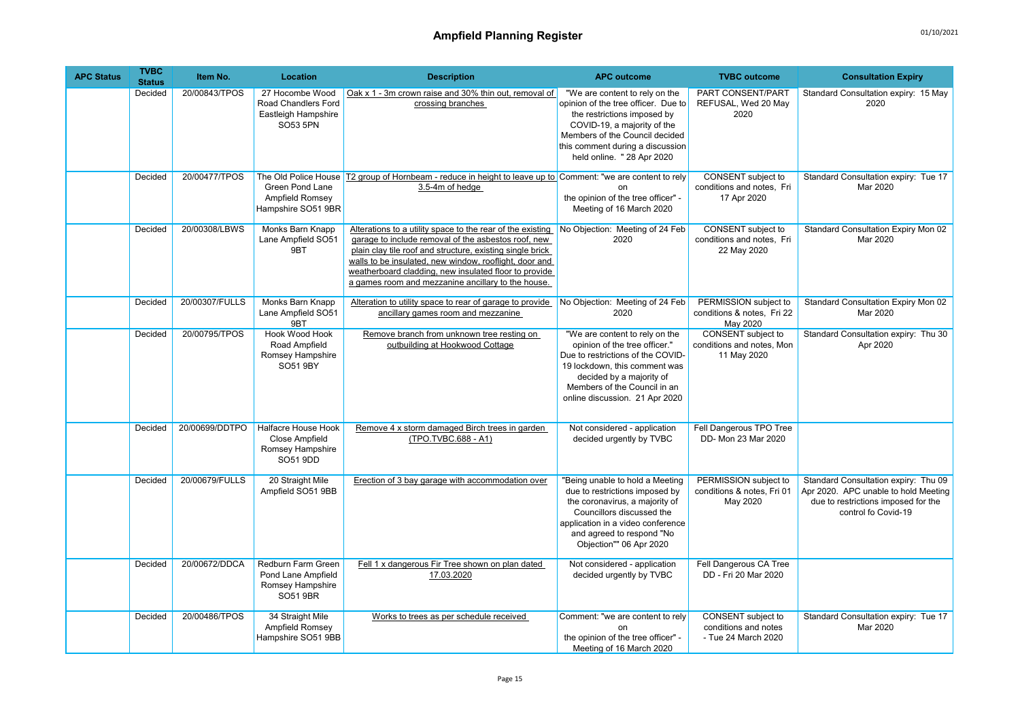| <b>APC Status</b> | <b>TVBC</b><br><b>Status</b> | Item No.       | Location                                                                         | <b>Description</b>                                                                                                                                                                                                                                                                                                                                      | <b>APC outcome</b>                                                                                                                                                                                                                      | <b>TVBC</b> outcome                                                   | <b>Consultation Expiry</b>                                                                                                                 |
|-------------------|------------------------------|----------------|----------------------------------------------------------------------------------|---------------------------------------------------------------------------------------------------------------------------------------------------------------------------------------------------------------------------------------------------------------------------------------------------------------------------------------------------------|-----------------------------------------------------------------------------------------------------------------------------------------------------------------------------------------------------------------------------------------|-----------------------------------------------------------------------|--------------------------------------------------------------------------------------------------------------------------------------------|
|                   | Decided                      | 20/00843/TPOS  | 27 Hocombe Wood<br>Road Chandlers Ford<br>Eastleigh Hampshire<br>SO53 5PN        | Oak x 1 - 3m crown raise and 30% thin out, removal of<br>crossing branches                                                                                                                                                                                                                                                                              | "We are content to rely on the<br>opinion of the tree officer. Due to<br>the restrictions imposed by<br>COVID-19, a majority of the<br>Members of the Council decided<br>this comment during a discussion<br>held online. " 28 Apr 2020 | PART CONSENT/PART<br>REFUSAL, Wed 20 May<br>2020                      | Standard Consultation expiry: 15 May<br>2020                                                                                               |
|                   | Decided                      | 20/00477/TPOS  | The Old Police House<br>Green Pond Lane<br>Ampfield Romsey<br>Hampshire SO51 9BR | T2 group of Hornbeam - reduce in height to leave up to Comment: "we are content to rely<br>3.5-4m of hedge                                                                                                                                                                                                                                              | n <sub>n</sub><br>the opinion of the tree officer" -<br>Meeting of 16 March 2020                                                                                                                                                        | CONSENT subject to<br>conditions and notes, Fri<br>17 Apr 2020        | Standard Consultation expiry: Tue 17<br>Mar 2020                                                                                           |
|                   | Decided                      | 20/00308/LBWS  | Monks Barn Knapp<br>Lane Ampfield SO51<br>9BT                                    | Alterations to a utility space to the rear of the existing<br>garage to include removal of the asbestos roof, new<br>plain clay tile roof and structure, existing single brick<br>walls to be insulated, new window, rooflight, door and<br>weatherboard cladding, new insulated floor to provide<br>a games room and mezzanine ancillary to the house. | No Objection: Meeting of 24 Feb<br>2020                                                                                                                                                                                                 | <b>CONSENT</b> subject to<br>conditions and notes, Fri<br>22 May 2020 | Standard Consultation Expiry Mon 02<br>Mar 2020                                                                                            |
|                   | Decided                      | 20/00307/FULLS | Monks Barn Knapp<br>Lane Ampfield SO51<br>9BT                                    | Alteration to utility space to rear of garage to provide<br>ancillary games room and mezzanine                                                                                                                                                                                                                                                          | No Objection: Meeting of 24 Feb<br>2020                                                                                                                                                                                                 | PERMISSION subject to<br>conditions & notes, Fri 22<br>May 2020       | Standard Consultation Expiry Mon 02<br>Mar 2020                                                                                            |
|                   | Decided                      | 20/00795/TPOS  | <b>Hook Wood Hook</b><br>Road Ampfield<br>Romsey Hampshire<br>SO51 9BY           | Remove branch from unknown tree resting on<br>outbuilding at Hookwood Cottage                                                                                                                                                                                                                                                                           | "We are content to rely on the<br>opinion of the tree officer."<br>Due to restrictions of the COVID-<br>19 lockdown, this comment was<br>decided by a majority of<br>Members of the Council in an<br>online discussion. 21 Apr 2020     | <b>CONSENT</b> subject to<br>conditions and notes, Mon<br>11 May 2020 | Standard Consultation expiry: Thu 30<br>Apr 2020                                                                                           |
|                   | Decided                      | 20/00699/DDTPO | Halfacre House Hook<br>Close Ampfield<br>Romsey Hampshire<br>SO51 9DD            | Remove 4 x storm damaged Birch trees in garden<br>(TPO.TVBC.688 - A1)                                                                                                                                                                                                                                                                                   | Not considered - application<br>decided urgently by TVBC                                                                                                                                                                                | Fell Dangerous TPO Tree<br>DD- Mon 23 Mar 2020                        |                                                                                                                                            |
|                   | Decided                      | 20/00679/FULLS | 20 Straight Mile<br>Ampfield SO51 9BB                                            | Erection of 3 bay garage with accommodation over                                                                                                                                                                                                                                                                                                        | "Being unable to hold a Meeting<br>due to restrictions imposed by<br>the coronavirus, a majority of<br>Councillors discussed the<br>application in a video conference<br>and agreed to respond "No<br>Objection"" 06 Apr 2020           | PERMISSION subject to<br>conditions & notes, Fri 01<br>May 2020       | Standard Consultation expiry: Thu 09<br>Apr 2020. APC unable to hold Meeting<br>due to restrictions imposed for the<br>control fo Covid-19 |
|                   | Decided                      | 20/00672/DDCA  | Redburn Farm Green<br>Pond Lane Ampfield<br>Romsey Hampshire<br>SO51 9BR         | Fell 1 x dangerous Fir Tree shown on plan dated<br>17.03.2020                                                                                                                                                                                                                                                                                           | Not considered - application<br>decided urgently by TVBC                                                                                                                                                                                | Fell Dangerous CA Tree<br>DD - Fri 20 Mar 2020                        |                                                                                                                                            |
|                   | Decided                      | 20/00486/TPOS  | 34 Straight Mile<br>Ampfield Romsey<br>Hampshire SO51 9BB                        | Works to trees as per schedule received                                                                                                                                                                                                                                                                                                                 | Comment: "we are content to rely<br>on<br>the opinion of the tree officer" -<br>Meeting of 16 March 2020                                                                                                                                | CONSENT subject to<br>conditions and notes<br>- Tue 24 March 2020     | Standard Consultation expiry: Tue 17<br>Mar 2020                                                                                           |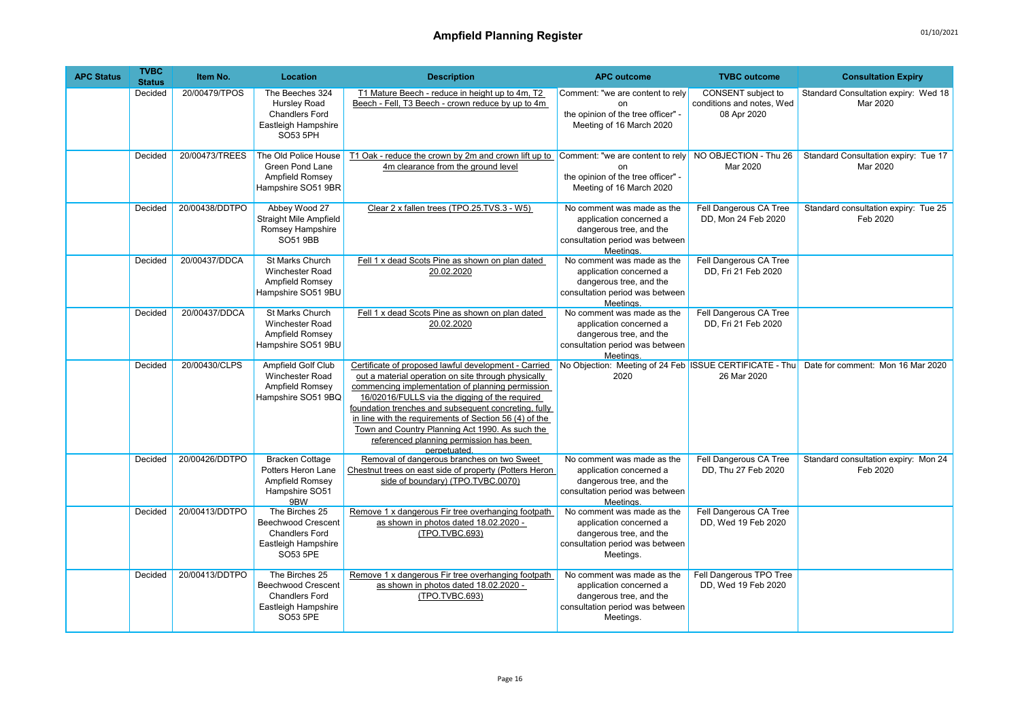| <b>APC Status</b> | <b>TVBC</b><br><b>Status</b> | Item No.       | Location                                                                                                | <b>Description</b>                                                                                                                                                                                                                                                                                                                                                                                                                                | <b>APC outcome</b>                                                                                                               | <b>TVBC</b> outcome                                            | <b>Consultation Expiry</b>                       |
|-------------------|------------------------------|----------------|---------------------------------------------------------------------------------------------------------|---------------------------------------------------------------------------------------------------------------------------------------------------------------------------------------------------------------------------------------------------------------------------------------------------------------------------------------------------------------------------------------------------------------------------------------------------|----------------------------------------------------------------------------------------------------------------------------------|----------------------------------------------------------------|--------------------------------------------------|
|                   | Decided                      | 20/00479/TPOS  | The Beeches 324<br>Hursley Road<br><b>Chandlers Ford</b><br>Eastleigh Hampshire<br>SO53 5PH             | T1 Mature Beech - reduce in height up to 4m, T2<br>Beech - Fell, T3 Beech - crown reduce by up to 4m                                                                                                                                                                                                                                                                                                                                              | Comment: "we are content to rely<br><sub>on</sub><br>the opinion of the tree officer" -<br>Meeting of 16 March 2020              | CONSENT subject to<br>conditions and notes, Wed<br>08 Apr 2020 | Standard Consultation expiry: Wed 18<br>Mar 2020 |
|                   | Decided                      | 20/00473/TREES | The Old Police House<br>Green Pond Lane<br>Ampfield Romsey<br>Hampshire SO51 9BR                        | T1 Oak - reduce the crown by 2m and crown lift up to<br>4m clearance from the ground level                                                                                                                                                                                                                                                                                                                                                        | Comment: "we are content to rely<br><sub>on</sub><br>the opinion of the tree officer" -<br>Meeting of 16 March 2020              | NO OBJECTION - Thu 26<br>Mar 2020                              | Standard Consultation expiry: Tue 17<br>Mar 2020 |
|                   | Decided                      | 20/00438/DDTPO | Abbey Wood 27<br><b>Straight Mile Ampfield</b><br>Romsey Hampshire<br>SO51 9BB                          | Clear 2 x fallen trees (TPO.25.TVS.3 - W5)                                                                                                                                                                                                                                                                                                                                                                                                        | No comment was made as the<br>application concerned a<br>dangerous tree, and the<br>consultation period was between<br>Meetinas  | Fell Dangerous CA Tree<br>DD, Mon 24 Feb 2020                  | Standard consultation expiry: Tue 25<br>Feb 2020 |
|                   | Decided                      | 20/00437/DDCA  | St Marks Church<br>Winchester Road<br>Ampfield Romsey<br>Hampshire SO51 9BU                             | Fell 1 x dead Scots Pine as shown on plan dated<br>20.02.2020                                                                                                                                                                                                                                                                                                                                                                                     | No comment was made as the<br>application concerned a<br>dangerous tree, and the<br>consultation period was between<br>Meetings. | Fell Dangerous CA Tree<br>DD, Fri 21 Feb 2020                  |                                                  |
|                   | Decided                      | 20/00437/DDCA  | St Marks Church<br><b>Winchester Road</b><br>Ampfield Romsey<br>Hampshire SO51 9BU                      | Fell 1 x dead Scots Pine as shown on plan dated<br>20.02.2020                                                                                                                                                                                                                                                                                                                                                                                     | No comment was made as the<br>application concerned a<br>dangerous tree, and the<br>consultation period was between<br>Meetings. | Fell Dangerous CA Tree<br>DD. Fri 21 Feb 2020                  |                                                  |
|                   | Decided                      | 20/00430/CLPS  | Ampfield Golf Club<br>Winchester Road<br>Ampfield Romsey<br>Hampshire SO51 9BQ                          | Certificate of proposed lawful development - Carried<br>out a material operation on site through physically<br>commencing implementation of planning permission<br>16/02016/FULLS via the digging of the reguired<br>foundation trenches and subsequent concreting, fully<br>in line with the requirements of Section 56 (4) of the<br>Town and Country Planning Act 1990. As such the<br>referenced planning permission has been<br>perpetuated. | No Objection: Meeting of 24 Feb   ISSUE CERTIFICATE - Thu<br>2020                                                                | 26 Mar 2020                                                    | Date for comment: Mon 16 Mar 2020                |
|                   | Decided                      | 20/00426/DDTPO | <b>Bracken Cottage</b><br>Potters Heron Lane<br>Ampfield Romsey<br>Hampshire SO51<br>9BW                | Removal of dangerous branches on two Sweet<br>Chestnut trees on east side of property (Potters Heron<br>side of boundary) (TPO.TVBC.0070)                                                                                                                                                                                                                                                                                                         | No comment was made as the<br>application concerned a<br>dangerous tree, and the<br>consultation period was between<br>Meetings. | Fell Dangerous CA Tree<br>DD. Thu 27 Feb 2020                  | Standard consultation expiry: Mon 24<br>Feb 2020 |
|                   | Decided                      | 20/00413/DDTPO | The Birches 25<br><b>Beechwood Crescent</b><br><b>Chandlers Ford</b><br>Eastleigh Hampshire<br>SO53 5PE | Remove 1 x dangerous Fir tree overhanging footpath<br>as shown in photos dated 18.02.2020 -<br>(TPO.TVBC.693)                                                                                                                                                                                                                                                                                                                                     | No comment was made as the<br>application concerned a<br>dangerous tree, and the<br>consultation period was between<br>Meetings. | Fell Dangerous CA Tree<br>DD, Wed 19 Feb 2020                  |                                                  |
|                   | Decided                      | 20/00413/DDTPO | The Birches 25<br><b>Beechwood Crescent</b><br><b>Chandlers Ford</b><br>Eastleigh Hampshire<br>SO53 5PE | Remove 1 x dangerous Fir tree overhanging footpath<br>as shown in photos dated 18.02.2020 -<br>(TPO.TVBC.693)                                                                                                                                                                                                                                                                                                                                     | No comment was made as the<br>application concerned a<br>dangerous tree, and the<br>consultation period was between<br>Meetings. | Fell Dangerous TPO Tree<br>DD, Wed 19 Feb 2020                 |                                                  |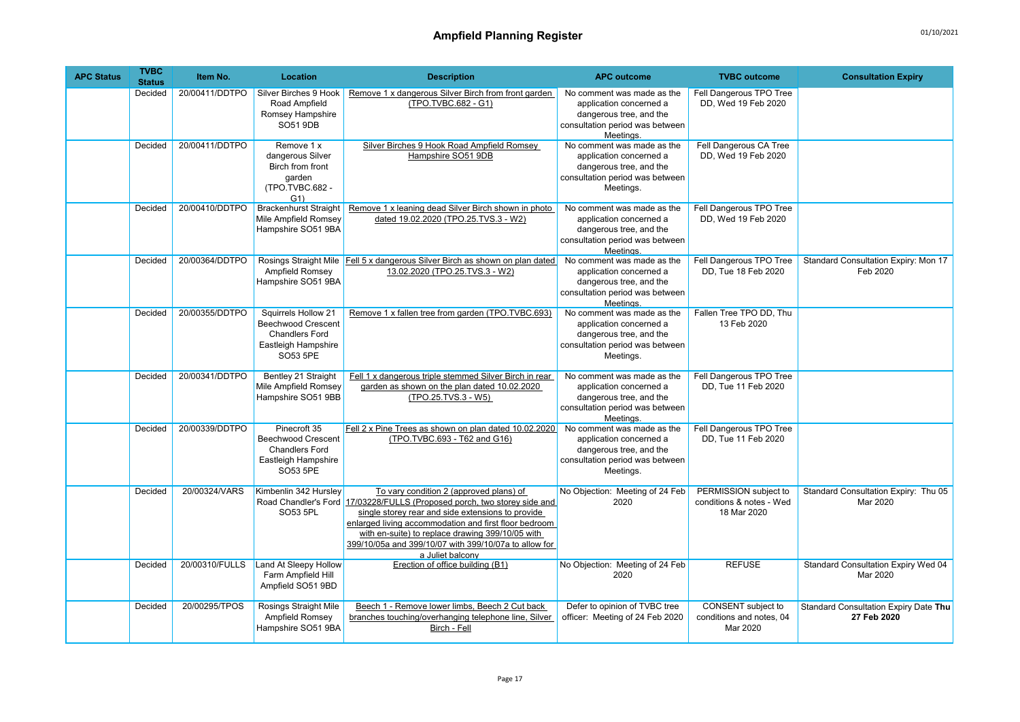| <b>APC Status</b> | <b>TVBC</b><br><b>Status</b> | Item No.       | Location                                                                                                     | <b>Description</b>                                                                                                                                                                                                                                                                                                                                                 | <b>APC outcome</b>                                                                                                               | <b>TVBC</b> outcome                                              | <b>Consultation Expiry</b>                             |
|-------------------|------------------------------|----------------|--------------------------------------------------------------------------------------------------------------|--------------------------------------------------------------------------------------------------------------------------------------------------------------------------------------------------------------------------------------------------------------------------------------------------------------------------------------------------------------------|----------------------------------------------------------------------------------------------------------------------------------|------------------------------------------------------------------|--------------------------------------------------------|
|                   | Decided                      | 20/00411/DDTPO | Silver Birches 9 Hook<br>Road Ampfield<br>Romsey Hampshire<br><b>SO51 9DB</b>                                | Remove 1 x dangerous Silver Birch from front garden<br>(TPO.TVBC.682 - G1)                                                                                                                                                                                                                                                                                         | No comment was made as the<br>application concerned a<br>dangerous tree, and the<br>consultation period was between<br>Meetings. | Fell Dangerous TPO Tree<br>DD, Wed 19 Feb 2020                   |                                                        |
|                   | Decided                      | 20/00411/DDTPO | Remove 1 x<br>dangerous Silver<br>Birch from front<br>garden<br>(TPO.TVBC.682 -<br>G(1)                      | Silver Birches 9 Hook Road Ampfield Romsey<br>Hampshire SO51 9DB                                                                                                                                                                                                                                                                                                   | No comment was made as the<br>application concerned a<br>dangerous tree, and the<br>consultation period was between<br>Meetings. | Fell Dangerous CA Tree<br>DD, Wed 19 Feb 2020                    |                                                        |
|                   | Decided                      | 20/00410/DDTPO | <b>Brackenhurst Straight</b><br>Mile Ampfield Romsey<br>Hampshire SO51 9BA                                   | Remove 1 x leaning dead Silver Birch shown in photo<br>dated 19.02.2020 (TPO.25.TVS.3 - W2)                                                                                                                                                                                                                                                                        | No comment was made as the<br>application concerned a<br>dangerous tree, and the<br>consultation period was between<br>Meetings. | Fell Dangerous TPO Tree<br>DD. Wed 19 Feb 2020                   |                                                        |
|                   | Decided                      | 20/00364/DDTPO | Ampfield Romsey<br>Hampshire SO51 9BA                                                                        | Rosings Straight Mile   Fell 5 x dangerous Silver Birch as shown on plan dated<br>13.02.2020 (TPO.25.TVS.3 - W2)                                                                                                                                                                                                                                                   | No comment was made as the<br>application concerned a<br>dangerous tree, and the<br>consultation period was between<br>Meetings. | Fell Dangerous TPO Tree<br>DD. Tue 18 Feb 2020                   | Standard Consultation Expiry: Mon 17<br>Feb 2020       |
|                   | Decided                      | 20/00355/DDTPO | Squirrels Hollow 21<br><b>Beechwood Crescent</b><br><b>Chandlers Ford</b><br>Eastleigh Hampshire<br>SO53 5PE | Remove 1 x fallen tree from garden (TPO.TVBC.693)                                                                                                                                                                                                                                                                                                                  | No comment was made as the<br>application concerned a<br>dangerous tree, and the<br>consultation period was between<br>Meetings. | Fallen Tree TPO DD, Thu<br>13 Feb 2020                           |                                                        |
|                   | Decided                      | 20/00341/DDTPO | Bentley 21 Straight<br>Mile Ampfield Romsey<br>Hampshire SO51 9BB                                            | Fell 1 x dangerous triple stemmed Silver Birch in rear<br>garden as shown on the plan dated 10.02.2020<br>(TPO.25.TVS.3 - W5)                                                                                                                                                                                                                                      | No comment was made as the<br>application concerned a<br>dangerous tree, and the<br>consultation period was between<br>Meetinas. | Fell Dangerous TPO Tree<br>DD. Tue 11 Feb 2020                   |                                                        |
|                   | Decided                      | 20/00339/DDTPO | Pinecroft 35<br><b>Beechwood Crescent</b><br><b>Chandlers Ford</b><br>Eastleigh Hampshire<br>SO53 5PE        | Fell 2 x Pine Trees as shown on plan dated 10.02.2020<br>(TPO.TVBC.693 - T62 and G16)                                                                                                                                                                                                                                                                              | No comment was made as the<br>application concerned a<br>dangerous tree, and the<br>consultation period was between<br>Meetings. | Fell Dangerous TPO Tree<br>DD, Tue 11 Feb 2020                   |                                                        |
|                   | Decided                      | 20/00324/VARS  | Kimbenlin 342 Hurslev<br>SO53 5PL                                                                            | To vary condition 2 (approved plans) of<br>Road Chandler's Ford 17/03228/FULLS (Proposed porch, two storey side and<br>single storey rear and side extensions to provide<br>enlarged living accommodation and first floor bedroom<br>with en-suite) to replace drawing 399/10/05 with<br>399/10/05a and 399/10/07 with 399/10/07a to allow for<br>a Juliet balcony | No Objection: Meeting of 24 Feb<br>2020                                                                                          | PERMISSION subject to<br>conditions & notes - Wed<br>18 Mar 2020 | Standard Consultation Expiry: Thu 05<br>Mar 2020       |
|                   | Decided                      | 20/00310/FULLS | Land At Sleepy Hollow<br>Farm Ampfield Hill<br>Ampfield SO51 9BD                                             | Erection of office building (B1)                                                                                                                                                                                                                                                                                                                                   | No Objection: Meeting of 24 Feb<br>2020                                                                                          | <b>REFUSE</b>                                                    | <b>Standard Consultation Expiry Wed 04</b><br>Mar 2020 |
|                   | Decided                      | 20/00295/TPOS  | <b>Rosings Straight Mile</b><br>Ampfield Romsey<br>Hampshire SO51 9BA                                        | Beech 1 - Remove lower limbs, Beech 2 Cut back<br>branches touching/overhanging telephone line, Silver<br>Birch - Fell                                                                                                                                                                                                                                             | Defer to opinion of TVBC tree<br>officer: Meeting of 24 Feb 2020                                                                 | CONSENT subject to<br>conditions and notes, 04<br>Mar 2020       | Standard Consultation Expiry Date Thu<br>27 Feb 2020   |